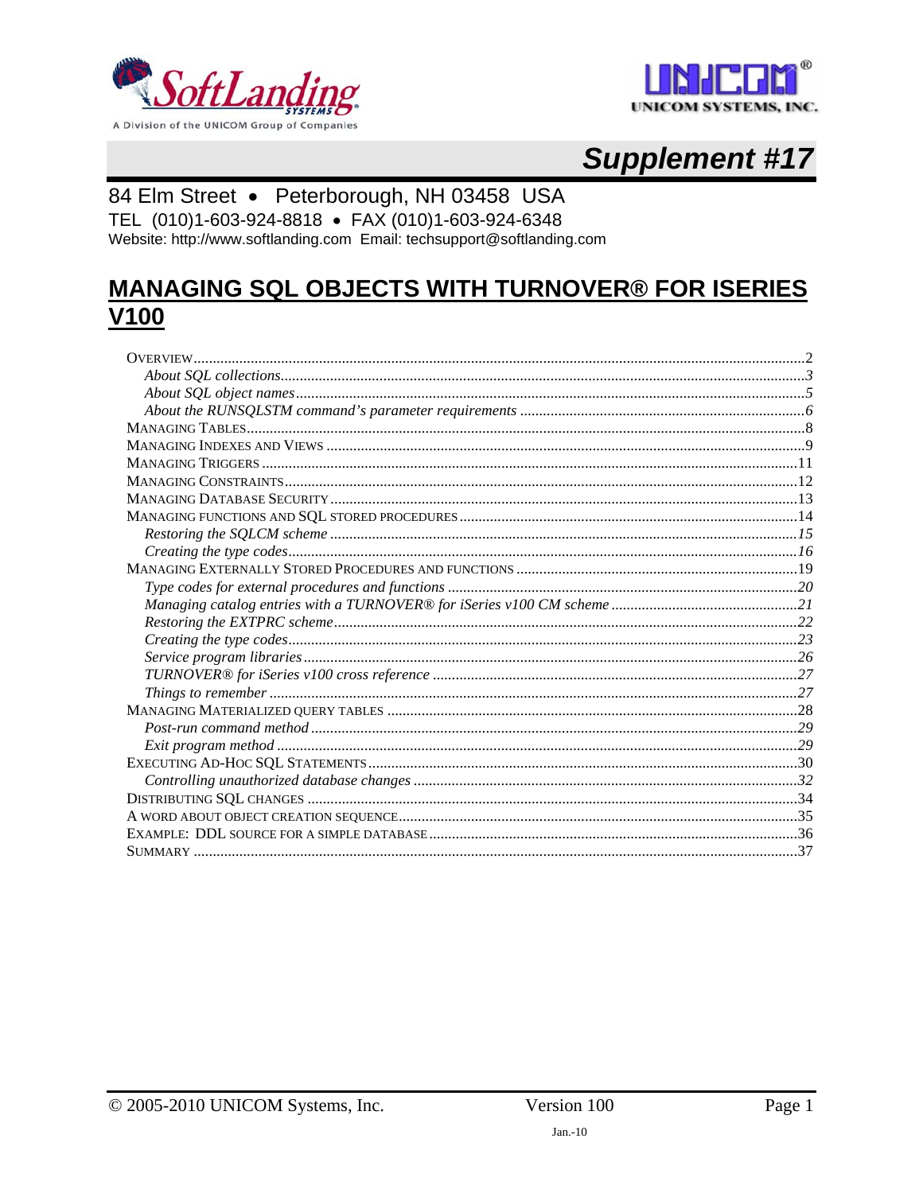



# **Supplement #17**

### 84 Elm Street · Peterborough, NH 03458 USA

TEL (010)1-603-924-8818 · FAX (010)1-603-924-6348 Website: http://www.softlanding.com Email: techsupport@softlanding.com

## **MANAGING SQL OBJECTS WITH TURNOVER® FOR ISERIES V100**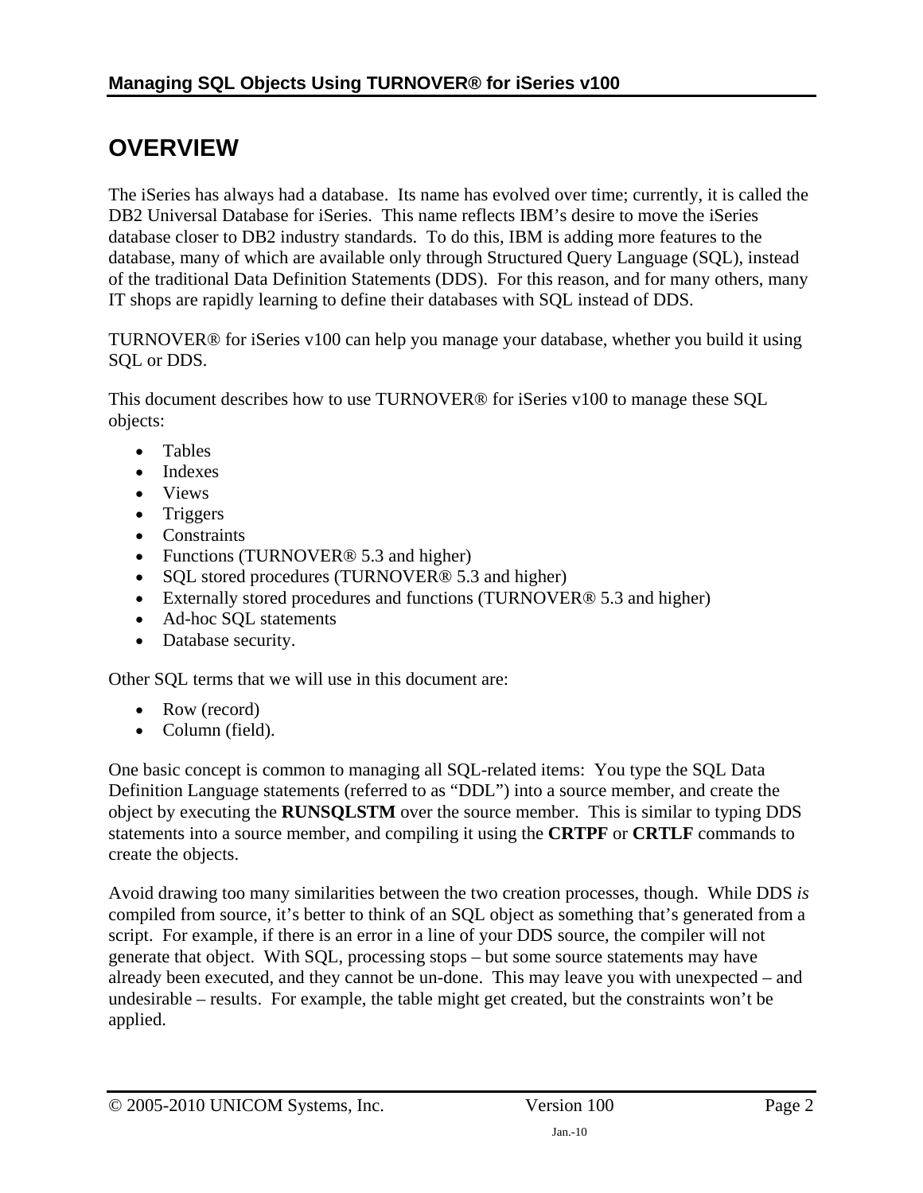# <span id="page-1-1"></span><span id="page-1-0"></span>**OVERVIEW**

The iSeries has always had a database. Its name has evolved over time; currently, it is called the DB2 Universal Database for iSeries. This name reflects IBM's desire to move the iSeries database closer to DB2 industry standards. To do this, IBM is adding more features to the database, many of which are available only through Structured Query Language (SQL), instead of the traditional Data Definition Statements (DDS). For this reason, and for many others, many IT shops are rapidly learning to define their databases with SQL instead of DDS.

TURNOVER® for iSeries v100 can help you manage your database, whether you build it using SQL or DDS.

This document describes how to use TURNOVER® for iSeries v100 to manage these SQL objects:

- Tables
- Indexes
- Views
- Triggers
- Constraints
- Functions (TURNOVER<sup>®</sup> 5.3 and higher)
- SQL stored procedures (TURNOVER<sup>®</sup> 5.3 and higher)
- Externally stored procedures and functions (TURNOVER<sup>®</sup> 5.3 and higher)
- Ad-hoc SQL statements
- Database security.

Other SQL terms that we will use in this document are:

- Row (record)
- Column (field).

One basic concept is common to managing all SQL-related items: You type the SQL Data Definition Language statements (referred to as "DDL") into a source member, and create the object by executing the **RUNSQLSTM** over the source member. This is similar to typing DDS statements into a source member, and compiling it using the **CRTPF** or **CRTLF** commands to create the objects.

Avoid drawing too many similarities between the two creation processes, though. While DDS *is* compiled from source, it's better to think of an SQL object as something that's generated from a script. For example, if there is an error in a line of your DDS source, the compiler will not generate that object. With SQL, processing stops – but some source statements may have already been executed, and they cannot be un-done. This may leave you with unexpected – and undesirable – results. For example, the table might get created, but the constraints won't be applied.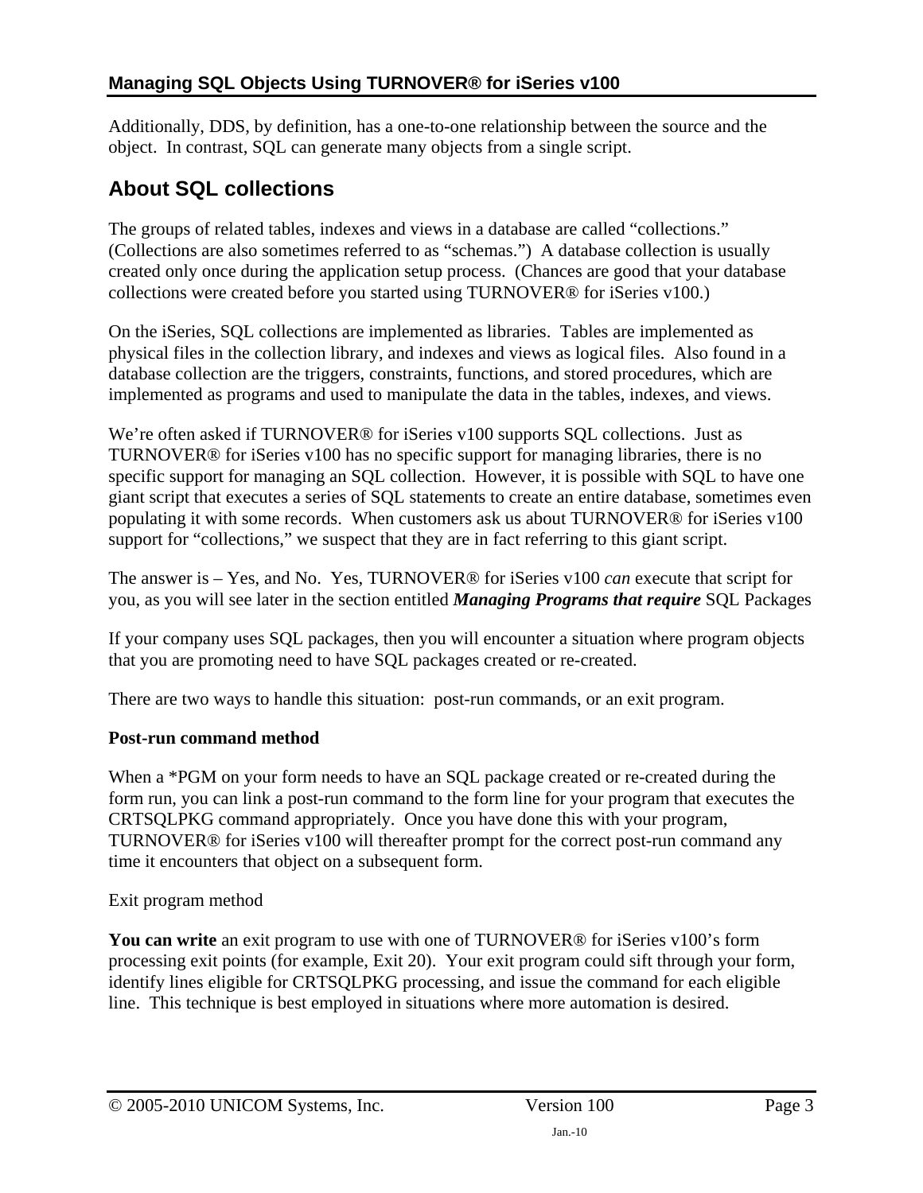<span id="page-2-0"></span>Additionally, DDS, by definition, has a one-to-one relationship between the source and the object. In contrast, SQL can generate many objects from a single script.

## <span id="page-2-1"></span>**About SQL collections**

The groups of related tables, indexes and views in a database are called "collections." (Collections are also sometimes referred to as "schemas.") A database collection is usually created only once during the application setup process. (Chances are good that your database collections were created before you started using TURNOVER® for iSeries v100.)

On the iSeries, SQL collections are implemented as libraries. Tables are implemented as physical files in the collection library, and indexes and views as logical files. Also found in a database collection are the triggers, constraints, functions, and stored procedures, which are implemented as programs and used to manipulate the data in the tables, indexes, and views.

We're often asked if TURNOVER® for iSeries v100 supports SQL collections. Just as TURNOVER® for iSeries v100 has no specific support for managing libraries, there is no specific support for managing an SQL collection. However, it is possible with SQL to have one giant script that executes a series of SQL statements to create an entire database, sometimes even populating it with some records. When customers ask us about TURNOVER® for iSeries v100 support for "collections," we suspect that they are in fact referring to this giant script.

The answer is – Yes, and No. Yes, TURNOVER® for iSeries v100 *can* execute that script for you, as you will see later in the section entitled *[Managing Programs that require](#page-29-1)* SQL Packages

[If your company uses SQL packages, then you will encounter a situation where program objects](#page-29-1)  [that you are promoting need to have SQL packages created or re-created.](#page-29-1) 

[There are two ways to handle this situation: post-run commands, or an exit program.](#page-29-1) 

#### **[Post-run command method](#page-29-1)**

When a \*PGM on your form needs to have an SQL package created or re-created during the [form run, you can link a post-run command to the form line for your program that executes the](#page-29-1)  [CRTSQLPKG command appropriately. Once you have done this with your program,](#page-29-1)  [TURNOVER® for iSeries v100 will thereafter prompt for the correct post-run command any](#page-29-1)  [time it encounters that object on a subsequent form.](#page-29-1) 

#### [Exit program method](#page-29-1)

**You can write** [an exit program to use with one of TURNOVER® for iSeries v100's form](#page-29-1)  [processing exit points \(for example, Exit 20\). Your exit program could sift through your form,](#page-29-1)  [identify lines eligible for CRTSQLPKG processing, and issue the command for each eligible](#page-29-1)  [line. This technique is best employed in situations where more automation is desired.](#page-29-1)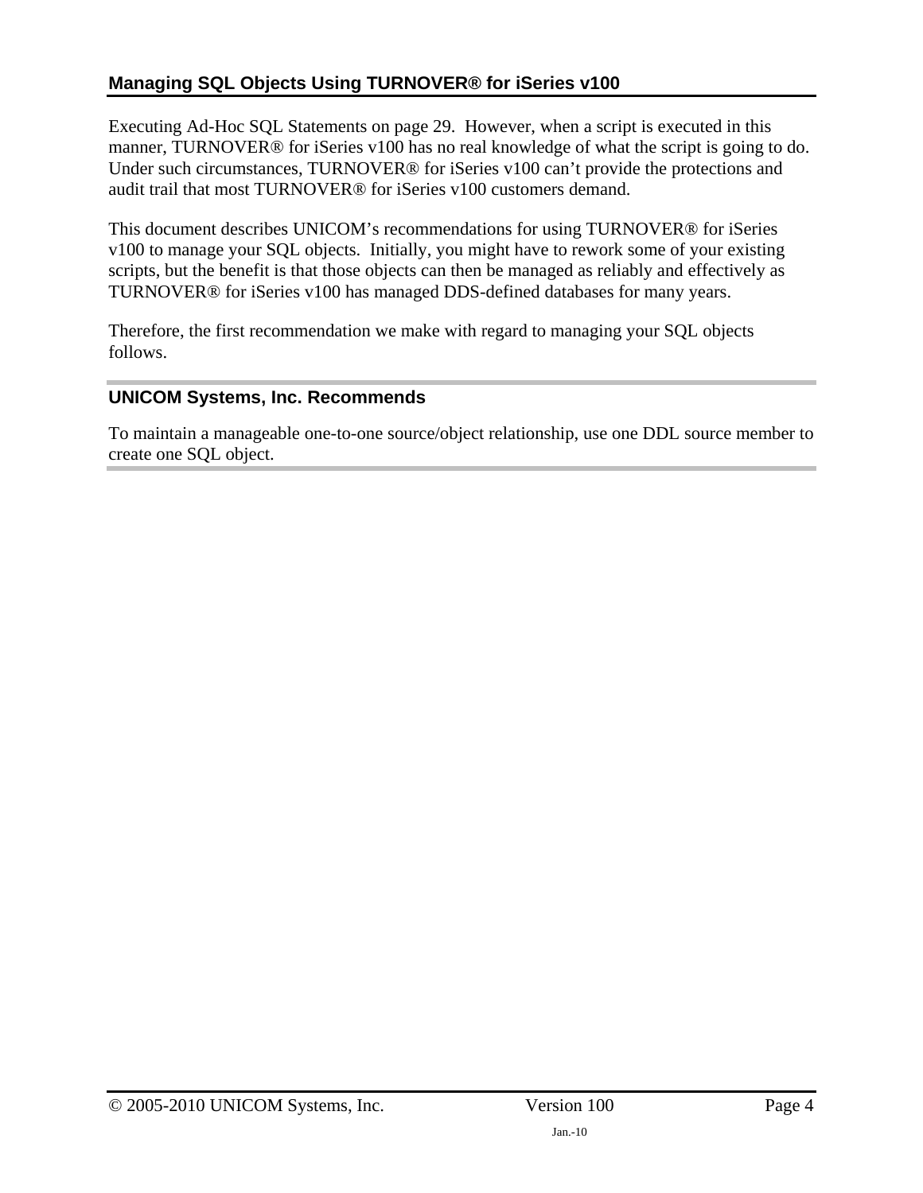### **[Managing SQL Objects Using TURNOV](#page-29-1)ER® for iSeries v100**

Executing Ad-Hoc SQL Statements on page [29](#page-29-1). However, when a script is executed in this manner, TURNOVER<sup>®</sup> for iSeries v100 has no real knowledge of what the script is going to do. Under such circumstances, TURNOVER® for iSeries v100 can't provide the protections and audit trail that most TURNOVER® for iSeries v100 customers demand.

This document describes UNICOM's recommendations for using TURNOVER® for iSeries v100 to manage your SQL objects. Initially, you might have to rework some of your existing scripts, but the benefit is that those objects can then be managed as reliably and effectively as TURNOVER® for iSeries v100 has managed DDS-defined databases for many years.

Therefore, the first recommendation we make with regard to managing your SQL objects follows.

#### **UNICOM Systems, Inc. Recommends**

To maintain a manageable one-to-one source/object relationship, use one DDL source member to create one SQL object.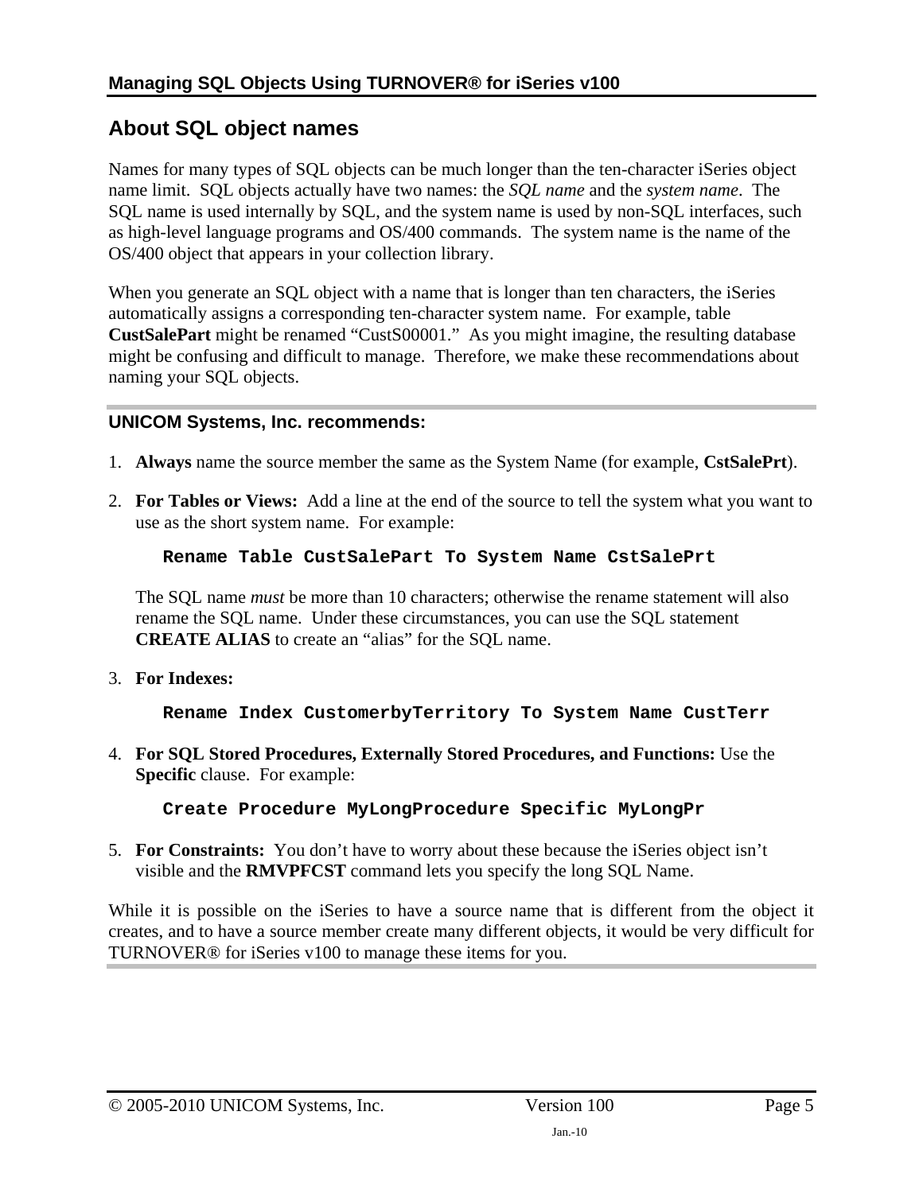### <span id="page-4-1"></span><span id="page-4-0"></span>**About SQL object names**

Names for many types of SQL objects can be much longer than the ten-character iSeries object name limit. SQL objects actually have two names: the *SQL name* and the *system name*. The SQL name is used internally by SQL, and the system name is used by non-SQL interfaces, such as high-level language programs and OS/400 commands. The system name is the name of the OS/400 object that appears in your collection library.

When you generate an SQL object with a name that is longer than ten characters, the iSeries automatically assigns a corresponding ten-character system name. For example, table **CustSalePart** might be renamed "CustS00001." As you might imagine, the resulting database might be confusing and difficult to manage. Therefore, we make these recommendations about naming your SQL objects.

#### **UNICOM Systems, Inc. recommends:**

- 1. **Always** name the source member the same as the System Name (for example, **CstSalePrt**).
- 2. **For Tables or Views:** Add a line at the end of the source to tell the system what you want to use as the short system name. For example:

#### **Rename Table CustSalePart To System Name CstSalePrt**

The SQL name *must* be more than 10 characters; otherwise the rename statement will also rename the SQL name. Under these circumstances, you can use the SQL statement **CREATE ALIAS** to create an "alias" for the SQL name.

3. **For Indexes:**

**Rename Index CustomerbyTerritory To System Name CustTerr** 

4. **For SQL Stored Procedures, Externally Stored Procedures, and Functions:** Use the **Specific** clause. For example:

**Create Procedure MyLongProcedure Specific MyLongPr** 

5. **For Constraints:** You don't have to worry about these because the iSeries object isn't visible and the **RMVPFCST** command lets you specify the long SQL Name.

While it is possible on the iSeries to have a source name that is different from the object it creates, and to have a source member create many different objects, it would be very difficult for TURNOVER® for iSeries v100 to manage these items for you.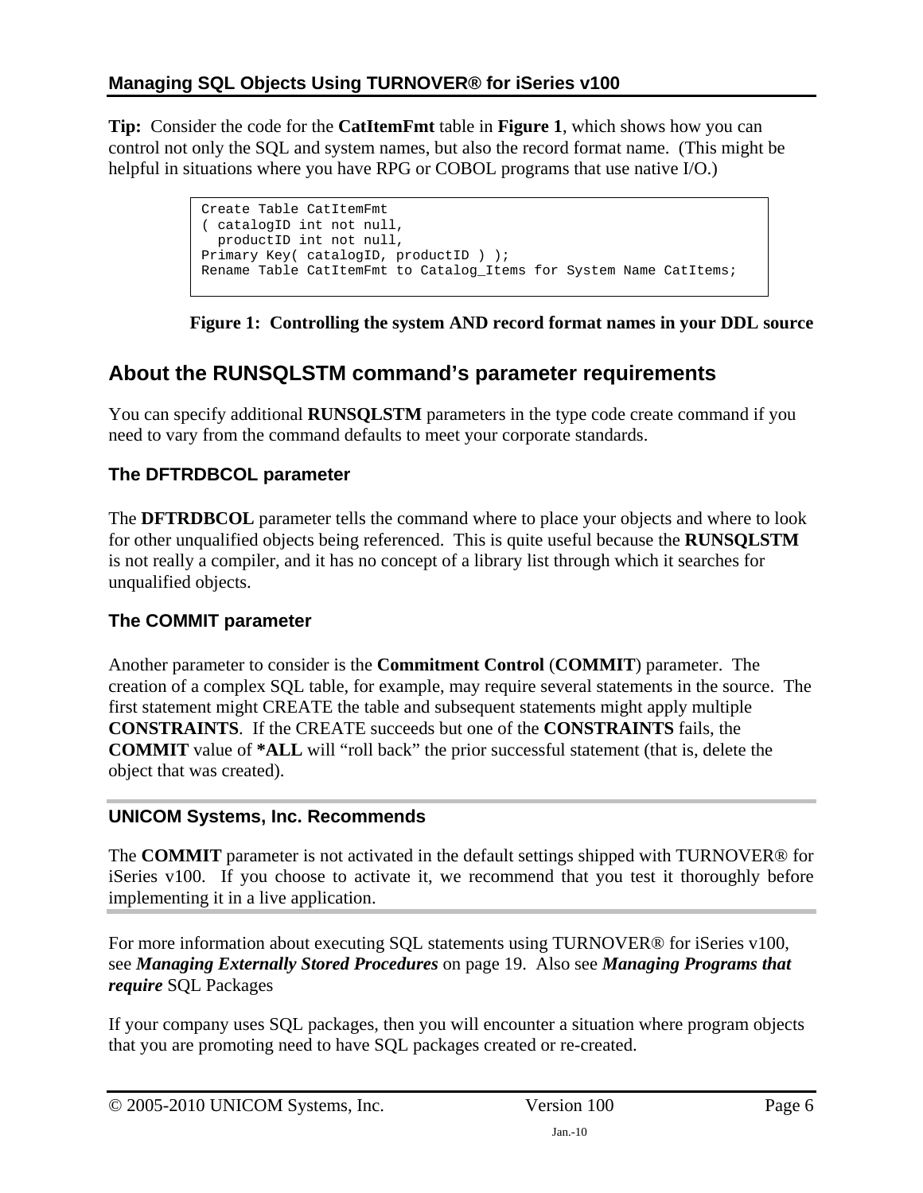<span id="page-5-0"></span>**Tip:** Consider the code for the **CatItemFmt** table in **[Figure 1](#page-5-2)**, which shows how you can control not only the SQL and system names, but also the record format name. (This might be helpful in situations where you have RPG or COBOL programs that use native I/O.)

> Create Table CatItemFmt ( catalogID int not null, productID int not null, Primary Key( catalogID, productID ) ); Rename Table CatItemFmt to Catalog\_Items for System Name CatItems;

**Figure 1: Controlling the system AND record format names in your DDL source** 

## <span id="page-5-2"></span><span id="page-5-1"></span>**About the RUNSQLSTM command's parameter requirements**

You can specify additional **RUNSQLSTM** parameters in the type code create command if you need to vary from the command defaults to meet your corporate standards.

### **The DFTRDBCOL parameter**

The **DFTRDBCOL** parameter tells the command where to place your objects and where to look for other unqualified objects being referenced. This is quite useful because the **RUNSQLSTM** is not really a compiler, and it has no concept of a library list through which it searches for unqualified objects.

### **The COMMIT parameter**

Another parameter to consider is the **Commitment Control** (**COMMIT**) parameter. The creation of a complex SQL table, for example, may require several statements in the source. The first statement might CREATE the table and subsequent statements might apply multiple **CONSTRAINTS**. If the CREATE succeeds but one of the **CONSTRAINTS** fails, the **COMMIT** value of **\*ALL** will "roll back" the prior successful statement (that is, delete the object that was created).

### **UNICOM Systems, Inc. Recommends**

The **COMMIT** parameter is not activated in the default settings shipped with TURNOVER® for iSeries v100. If you choose to activate it, we recommend that you test it thoroughly before implementing it in a live application.

For more information about executing SQL statements using TURNOVER® for iSeries v100, see *[Managing Externally Stored Procedures](#page-18-1)* on page [19.](#page-18-1) Also see *[Managing Programs that](#page-29-1)  require* [SQL Packages](#page-29-1) 

[If your company uses SQL packages, then you will encounter a situation where program objects](#page-29-1)  [that you are promoting need to have SQL packages created or re-created.](#page-29-1)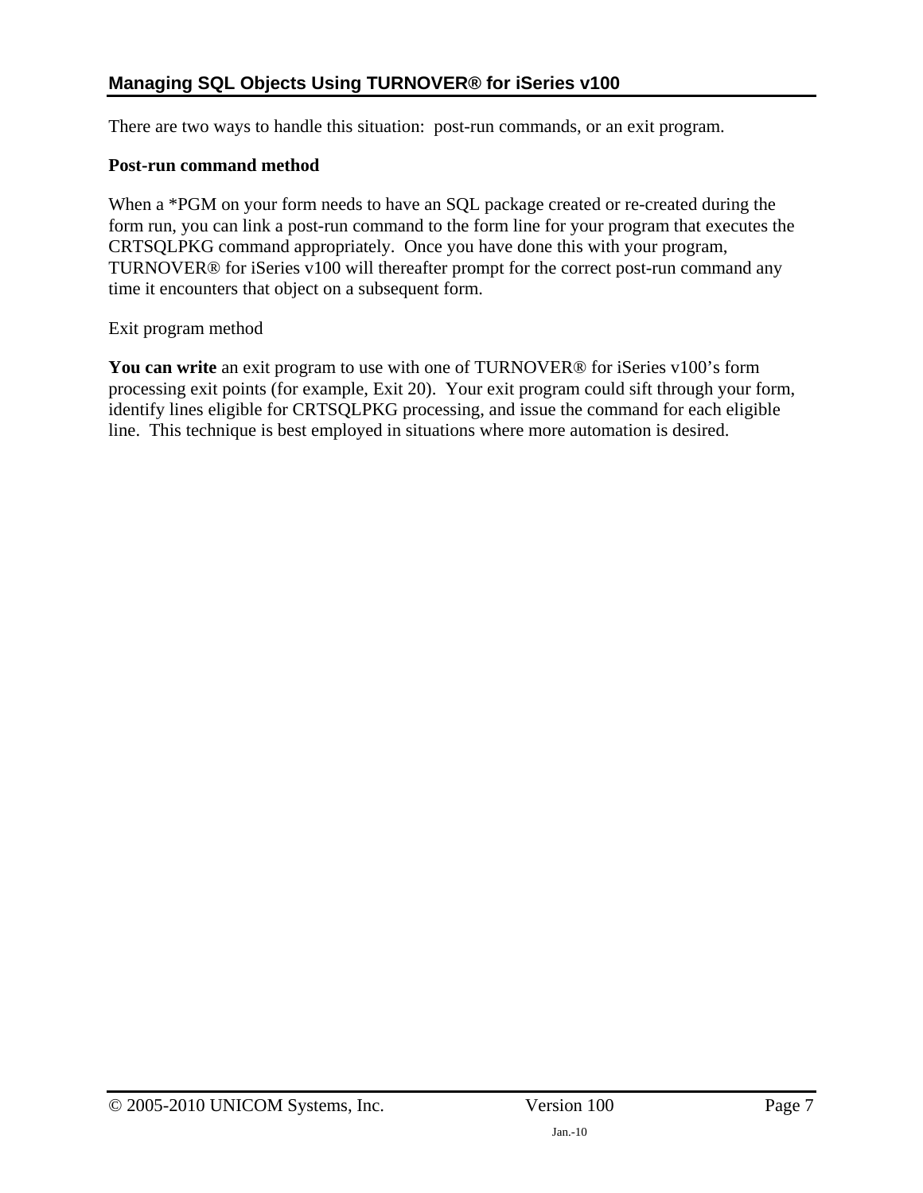[There are two ways to handle this situation: post-run commands, or an exit program.](#page-29-1) 

#### **[Post-run command method](#page-29-1)**

When a \*PGM on your form needs to have an SQL package created or re-created during the [form run, you can link a post-run command to the form line for your program that executes the](#page-29-1)  [CRTSQLPKG command appropriately. Once you have done this with your program,](#page-29-1)  [TURNOVER® for iSeries v100 will thereafter prompt for the correct post-run command any](#page-29-1)  [time it encounters that object on a subsequent form.](#page-29-1) 

[Exit program method](#page-29-1) 

**You can write** an exit program to use with one of TURNOVER<sup>®</sup> for iSeries v100's form [processing exit points \(for example, Exit 20\). Your exit program could sift through your form,](#page-29-1)  [identify lines eligible for CRTSQLPKG processing, and issue the command for each eligible](#page-29-1)  [line](#page-29-1). This technique is best employed in situations where more automation is desired.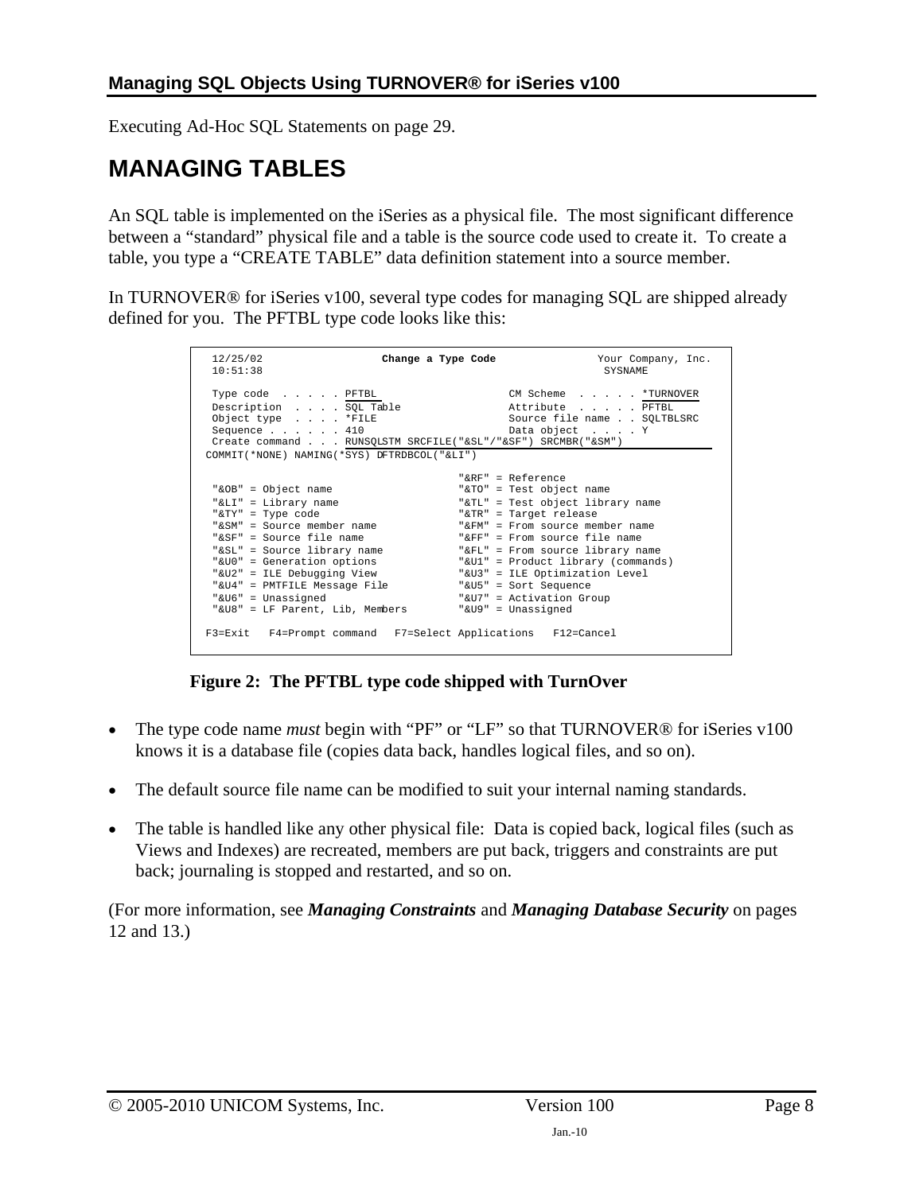<span id="page-7-0"></span>Executing Ad-Hoc SQL Statements on page [29](#page-29-1).

## <span id="page-7-1"></span>**MANAGING TABLES**

An SQL table is implemented on the iSeries as a physical file. The most significant difference between a "standard" physical file and a table is the source code used to create it. To create a table, you type a "CREATE TABLE" data definition statement into a source member.

In TURNOVER® for iSeries v100, several type codes for managing SQL are shipped already defined for you. The PFTBL type code looks like this:

| 12/25/02<br>10:51:38                                                                                                                                                                                                                                                                                           | Change a Type Code<br>Your Company, Inc.<br>SYSNAME                                                                                                                                                                                                                                                                                                                                |  |
|----------------------------------------------------------------------------------------------------------------------------------------------------------------------------------------------------------------------------------------------------------------------------------------------------------------|------------------------------------------------------------------------------------------------------------------------------------------------------------------------------------------------------------------------------------------------------------------------------------------------------------------------------------------------------------------------------------|--|
| Type code PFTBL<br>Description SQL Table<br>Object type *FILE<br>Sequence $\ldots$ $\ldots$ 410<br>Create command RUNSQLSTM SRCFILE("&SL"/"&SF") SRCMBR("&SM")<br>COMMIT(*NONE) NAMING(*SYS) DFTRDBCOL("&LI")                                                                                                  | CM Scheme *TURNOVER<br>Attribute PFTBL<br>Source file name SOLTBLSRC<br>Data object Y                                                                                                                                                                                                                                                                                              |  |
| "&OB" = Object name<br>"&LI" = Library name<br>"&TY" = Type code<br>"&SM" = Source member name<br>"&SF" = Source file name<br>"&SL" = Source library name<br>"&UO" = Generation options<br>"&U2" = ILE Debugging View<br>"&U4" = PMTFILE Message File<br>"&U6" = Unassigned<br>"&U8" = LF Parent, Lib, Members | " $R$ R $F$ " = Reference<br>"&TO" = Test object name<br>"&TL" = Test object library name<br>"&TR" = Target release<br>"&FM" = From source member name<br>" $F_F$ " = From source file name<br>"&FL" = From source library name<br>"&Ul" = Product library (commands)<br>"&U3" = ILE Optimization Level<br>"&U5" = Sort Sequence<br>"&U7" = Activation Group<br>"&U9" = Unassigned |  |
| F3=Exit F4=Prompt command F7=Select Applications F12=Cancel                                                                                                                                                                                                                                                    |                                                                                                                                                                                                                                                                                                                                                                                    |  |

**Figure 2: The PFTBL type code shipped with TurnOver** 

- The type code name *must* begin with "PF" or "LF" so that TURNOVER<sup>®</sup> for iSeries v100 knows it is a database file (copies data back, handles logical files, and so on).
- The default source file name can be modified to suit your internal naming standards.
- The table is handled like any other physical file: Data is copied back, logical files (such as Views and Indexes) are recreated, members are put back, triggers and constraints are put back; journaling is stopped and restarted, and so on.

(For more information, see *[Managing Constraints](#page-11-1)* and *[Managing Database Security](#page-12-1)* on pages [12](#page-11-1) and [13](#page-12-1).)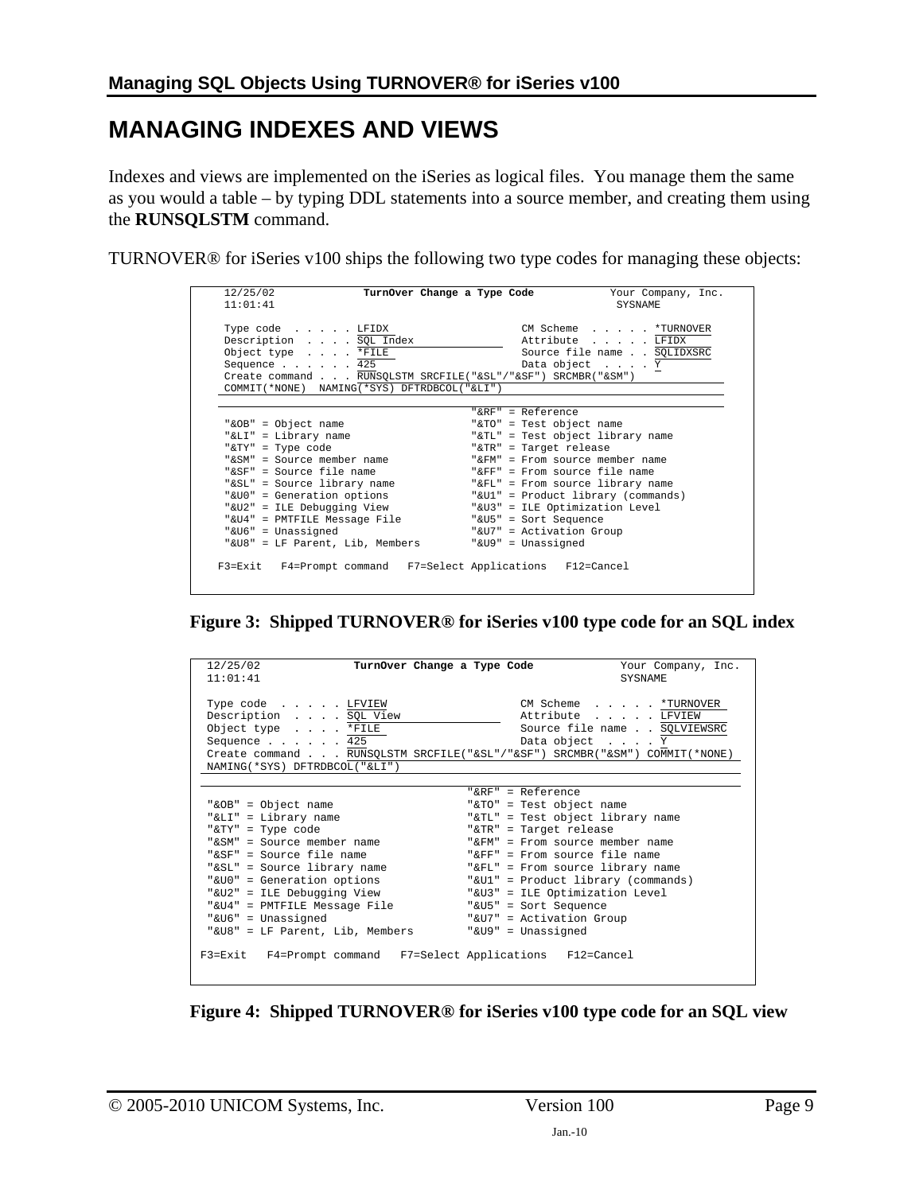## <span id="page-8-1"></span><span id="page-8-0"></span>**MANAGING INDEXES AND VIEWS**

Indexes and views are implemented on the iSeries as logical files. You manage them the same as you would a table – by typing DDL statements into a source member, and creating them using the **RUNSQLSTM** command.

TURNOVER® for iSeries v100 ships the following two type codes for managing these objects:

| 12/25/02<br>TurnOver Change a Type Code                     | Your Company, Inc.                 |
|-------------------------------------------------------------|------------------------------------|
| 11:01:41                                                    | <b>SYSNAME</b>                     |
| Type code LFIDX                                             | CM Scheme *TURNOVER                |
| Description SQL Index                                       | Attribute LFIDX                    |
| Object type *FILE                                           | Source file name SQLIDXSRC         |
| Sequence $\ldots$ $\ldots$ $\cdot$ 425                      | Data object Y                      |
| Create command RUNSQLSTM SRCFILE("&SL"/"&SF") SRCMBR("&SM") |                                    |
| COMMIT(*NONE) NAMING(*SYS) DFTRDBCOL("&LI")                 |                                    |
|                                                             |                                    |
|                                                             | " $R$ R $F$ " = Reference          |
| "&OB" = Object name                                         | "&TO" = Test object name           |
| "&LI" = Library name                                        | "&TL" = Test object library name   |
| "&TY" = Type code                                           | "&TR" = Target release             |
| "&SM" = Source member name                                  | "&FM" = From source member name    |
| "&SF" = Source file name                                    | " $F_F$ " = From source file name  |
| "&SL" = Source library name                                 | "&FL" = From source library name   |
| "&UO" = Generation options                                  | "&U1" = Product library (commands) |
| "&U2" = ILE Debugging View                                  | "&U3" = ILE Optimization Level     |
| "&U4" = PMTFILE Message File                                | "&U5" = Sort Sequence              |
| "&U6" = Unassigned                                          | "&U7" = Activation Group           |
| "&U8" = LF Parent, Lib, Members                             | "&U9" = Unassigned                 |
|                                                             |                                    |
| F3=Exit F4=Prompt command F7=Select Applications F12=Cancel |                                    |
|                                                             |                                    |

**Figure 3: Shipped TURNOVER® for iSeries v100 type code for an SQL index** 

| 12/25/02<br>TurnOver Change a Type Code                                   | Your Company, Inc.                 |
|---------------------------------------------------------------------------|------------------------------------|
| 11:01:41                                                                  | SYSNAME                            |
|                                                                           |                                    |
| Type code LFVIEW                                                          | CM Scheme *TURNOVER                |
| Description SQL View                                                      | Attribute LFVIEW                   |
| Object type $\ldots$ . *FILE                                              | Source file name SQLVIEWSRC        |
| Sequence $\ldots$ $\ldots$ 425                                            | Data object Y                      |
| Create command RUNSQLSTM SRCFILE("&SL"/"&SF") SRCMBR("&SM") COMMIT(*NONE) |                                    |
| NAMING (*SYS) DFTRDBCOL ("&LI")                                           |                                    |
|                                                                           |                                    |
|                                                                           | " $R$ RF" = Reference              |
| "&OB" = Object name                                                       | "&TO" = Test object name           |
| "&LI" = Library name                                                      | "&TL" = Test object library name   |
| "&TY" = Type code                                                         | "&TR" = Target release             |
| "&SM" = Source member name                                                | "&FM" = From source member name    |
| "&SF" = Source file name                                                  | " $F$ FF" = From source file name  |
| "&SL" = Source library name                                               | "&FL" = From source library name   |
| "&UO" = Generation options                                                | "&Ul" = Product library (commands) |
| "&U2" = ILE Debugging View                                                | "&U3" = ILE Optimization Level     |
| "&U4" = PMTFILE Message File                                              | "&U5" = Sort Sequence              |
| "&U6" = Unassigned                                                        | "&U7" = Activation Group           |
| "&U8" = LF Parent, Lib, Members                                           | "&U9" = Unassigned                 |
| F3=Exit F4=Prompt command F7=Select Applications F12=Cancel               |                                    |

**Figure 4: Shipped TURNOVER® for iSeries v100 type code for an SQL view**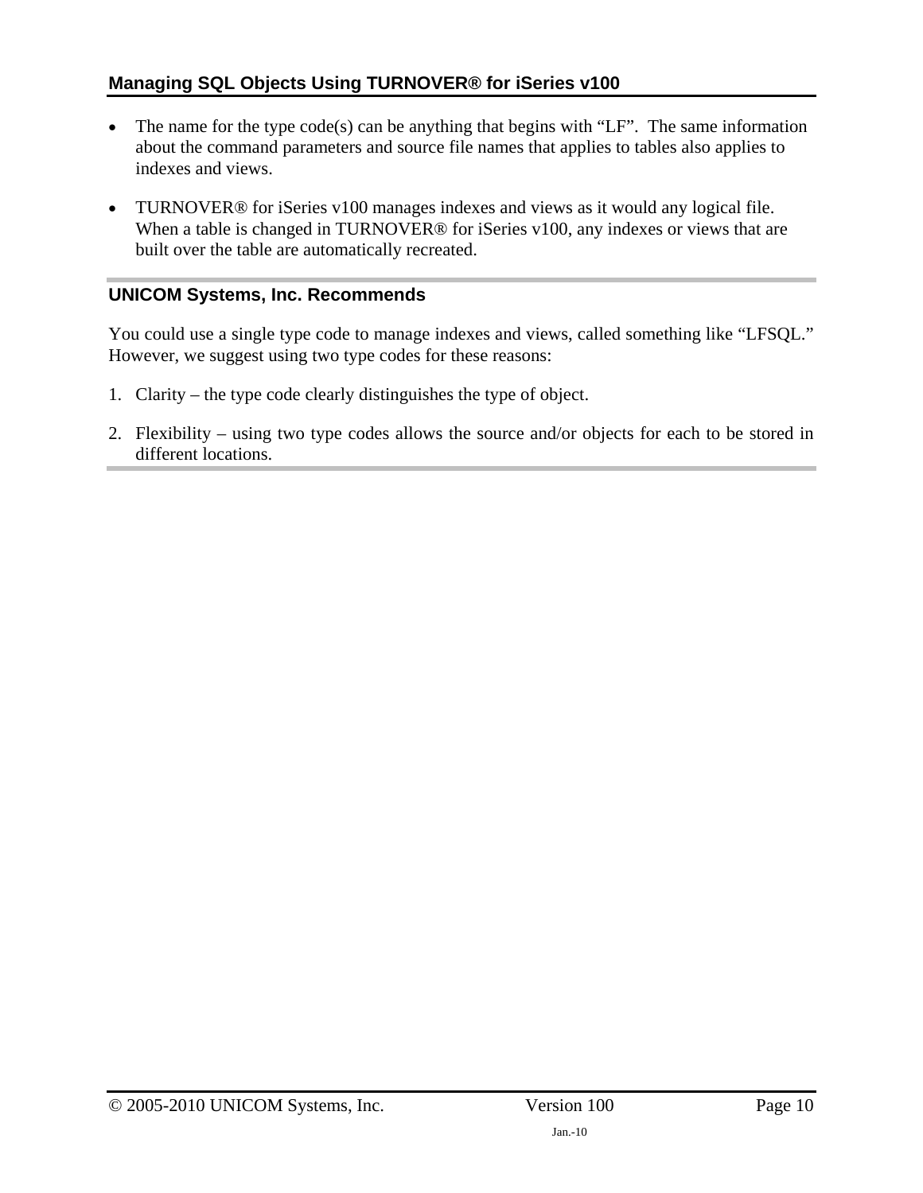#### **Managing SQL Objects Using TURNOVER® for iSeries v100**

- The name for the type code(s) can be anything that begins with "LF". The same information about the command parameters and source file names that applies to tables also applies to indexes and views.
- TURNOVER<sup>®</sup> for iSeries v100 manages indexes and views as it would any logical file. When a table is changed in TURNOVER<sup>®</sup> for iSeries v100, any indexes or views that are built over the table are automatically recreated.

#### **UNICOM Systems, Inc. Recommends**

You could use a single type code to manage indexes and views, called something like "LFSQL." However, we suggest using two type codes for these reasons:

- 1. Clarity the type code clearly distinguishes the type of object.
- 2. Flexibility using two type codes allows the source and/or objects for each to be stored in different locations.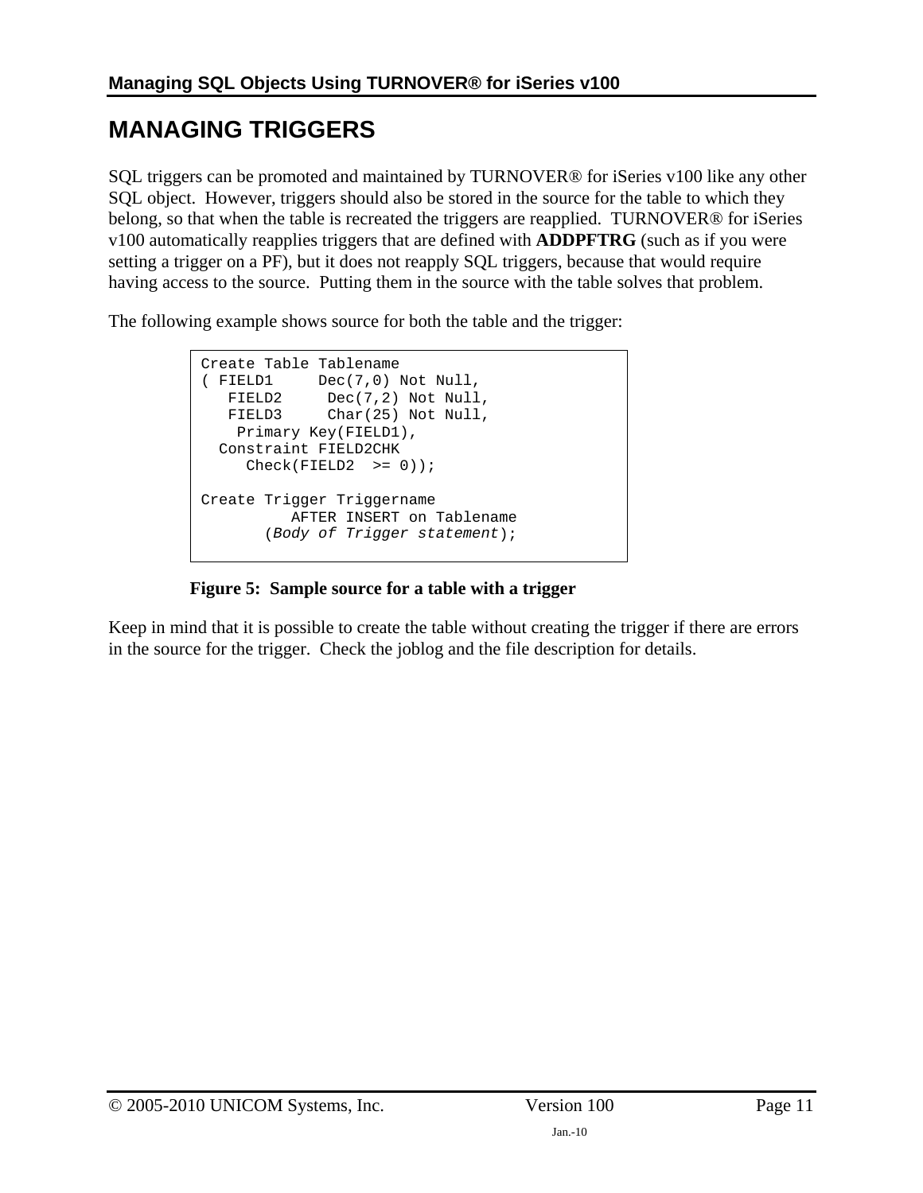# <span id="page-10-1"></span><span id="page-10-0"></span>**MANAGING TRIGGERS**

SQL triggers can be promoted and maintained by TURNOVER® for iSeries v100 like any other SQL object. However, triggers should also be stored in the source for the table to which they belong, so that when the table is recreated the triggers are reapplied. TURNOVER® for iSeries v100 automatically reapplies triggers that are defined with **ADDPFTRG** (such as if you were setting a trigger on a PF), but it does not reapply SQL triggers, because that would require having access to the source. Putting them in the source with the table solves that problem.

The following example shows source for both the table and the trigger:

Create Table Tablename ( FIELD1 Dec(7,0) Not Null, FIELD2 Dec(7,2) Not Null, FIELD3 Char(25) Not Null, Primary Key(FIELD1), Constraint FIELD2CHK  $Check(FIELD2 \t>= 0));$ Create Trigger Triggername AFTER INSERT on Tablename (*Body of Trigger statement*);

#### **Figure 5: Sample source for a table with a trigger**

Keep in mind that it is possible to create the table without creating the trigger if there are errors in the source for the trigger. Check the joblog and the file description for details.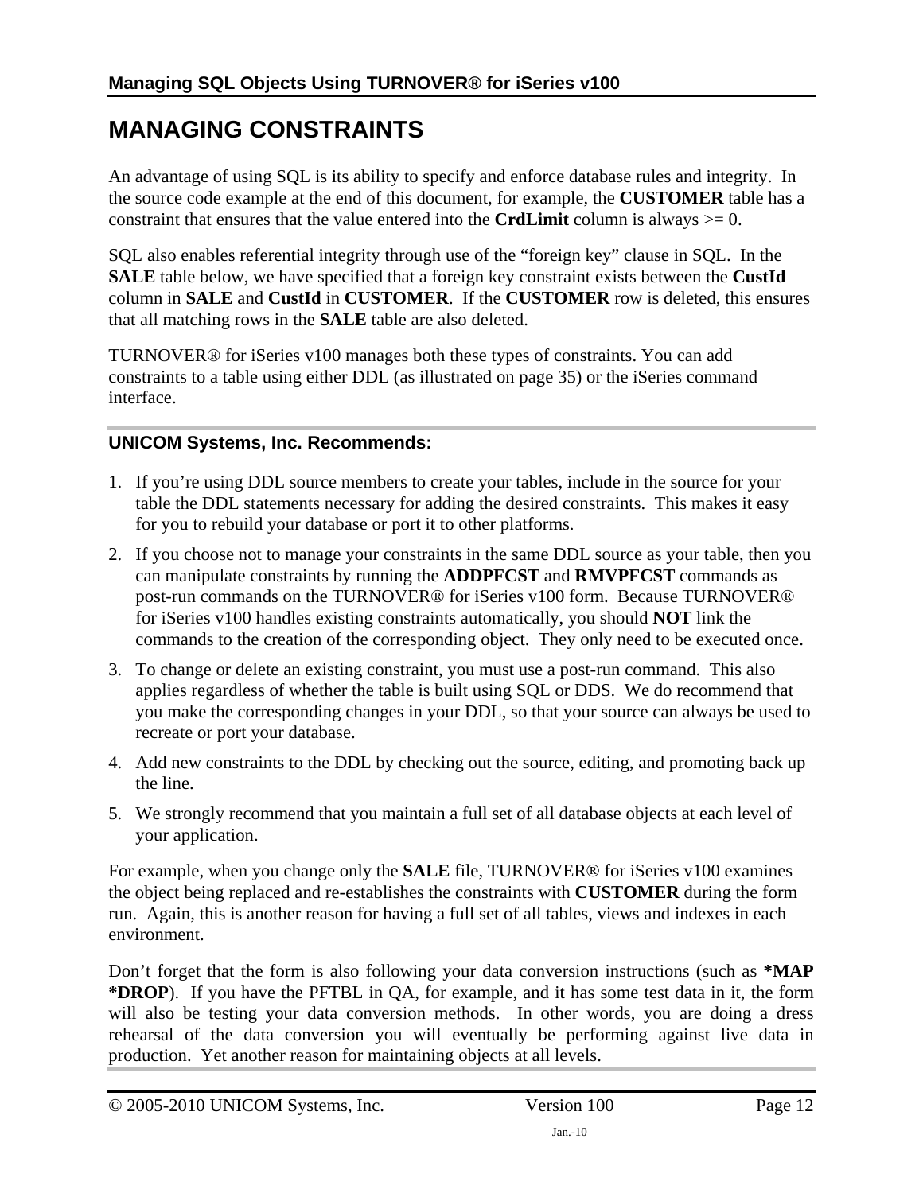# <span id="page-11-1"></span><span id="page-11-0"></span>**MANAGING CONSTRAINTS**

An advantage of using SQL is its ability to specify and enforce database rules and integrity. In the source code example at the end of this document, for example, the **CUSTOMER** table has a constraint that ensures that the value entered into the **CrdLimit** column is always >= 0.

SQL also enables referential integrity through use of the "foreign key" clause in SQL. In the **SALE** table below, we have specified that a foreign key constraint exists between the **CustId** column in **SALE** and **CustId** in **CUSTOMER**. If the **CUSTOMER** row is deleted, this ensures that all matching rows in the **SALE** table are also deleted.

TURNOVER® for iSeries v100 manages both these types of constraints. You can add constraints to a table using either DDL (as illustrated on page [35](#page-35-2)) or the iSeries command interface.

#### **UNICOM Systems, Inc. Recommends:**

- 1. If you're using DDL source members to create your tables, include in the source for your table the DDL statements necessary for adding the desired constraints. This makes it easy for you to rebuild your database or port it to other platforms.
- 2. If you choose not to manage your constraints in the same DDL source as your table, then you can manipulate constraints by running the **ADDPFCST** and **RMVPFCST** commands as post-run commands on the TURNOVER® for iSeries v100 form. Because TURNOVER® for iSeries v100 handles existing constraints automatically, you should **NOT** link the commands to the creation of the corresponding object. They only need to be executed once.
- 3. To change or delete an existing constraint, you must use a post-run command. This also applies regardless of whether the table is built using SQL or DDS. We do recommend that you make the corresponding changes in your DDL, so that your source can always be used to recreate or port your database.
- 4. Add new constraints to the DDL by checking out the source, editing, and promoting back up the line.
- 5. We strongly recommend that you maintain a full set of all database objects at each level of your application.

For example, when you change only the **SALE** file, TURNOVER® for iSeries v100 examines the object being replaced and re-establishes the constraints with **CUSTOMER** during the form run. Again, this is another reason for having a full set of all tables, views and indexes in each environment.

Don't forget that the form is also following your data conversion instructions (such as **\*MAP \*DROP**). If you have the PFTBL in QA, for example, and it has some test data in it, the form will also be testing your data conversion methods. In other words, you are doing a dress rehearsal of the data conversion you will eventually be performing against live data in production. Yet another reason for maintaining objects at all levels.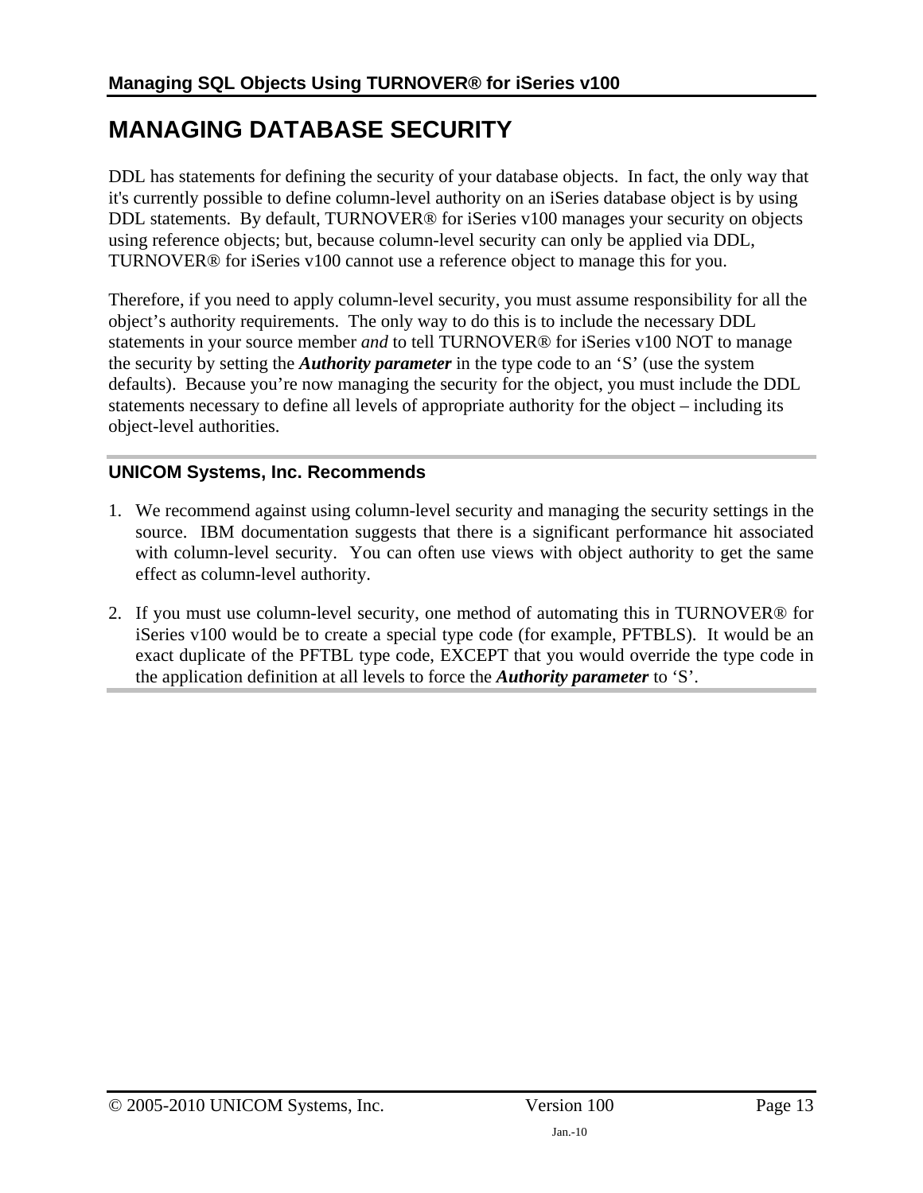# <span id="page-12-1"></span><span id="page-12-0"></span>**MANAGING DATABASE SECURITY**

DDL has statements for defining the security of your database objects. In fact, the only way that it's currently possible to define column-level authority on an iSeries database object is by using DDL statements. By default, TURNOVER® for iSeries v100 manages your security on objects using reference objects; but, because column-level security can only be applied via DDL, TURNOVER® for iSeries v100 cannot use a reference object to manage this for you.

Therefore, if you need to apply column-level security, you must assume responsibility for all the object's authority requirements. The only way to do this is to include the necessary DDL statements in your source member *and* to tell TURNOVER® for iSeries v100 NOT to manage the security by setting the *Authority parameter* in the type code to an 'S' (use the system defaults). Because you're now managing the security for the object, you must include the DDL statements necessary to define all levels of appropriate authority for the object – including its object-level authorities.

#### **UNICOM Systems, Inc. Recommends**

- 1. We recommend against using column-level security and managing the security settings in the source. IBM documentation suggests that there is a significant performance hit associated with column-level security. You can often use views with object authority to get the same effect as column-level authority.
- 2. If you must use column-level security, one method of automating this in TURNOVER® for iSeries v100 would be to create a special type code (for example, PFTBLS). It would be an exact duplicate of the PFTBL type code, EXCEPT that you would override the type code in the application definition at all levels to force the *Authority parameter* to 'S'.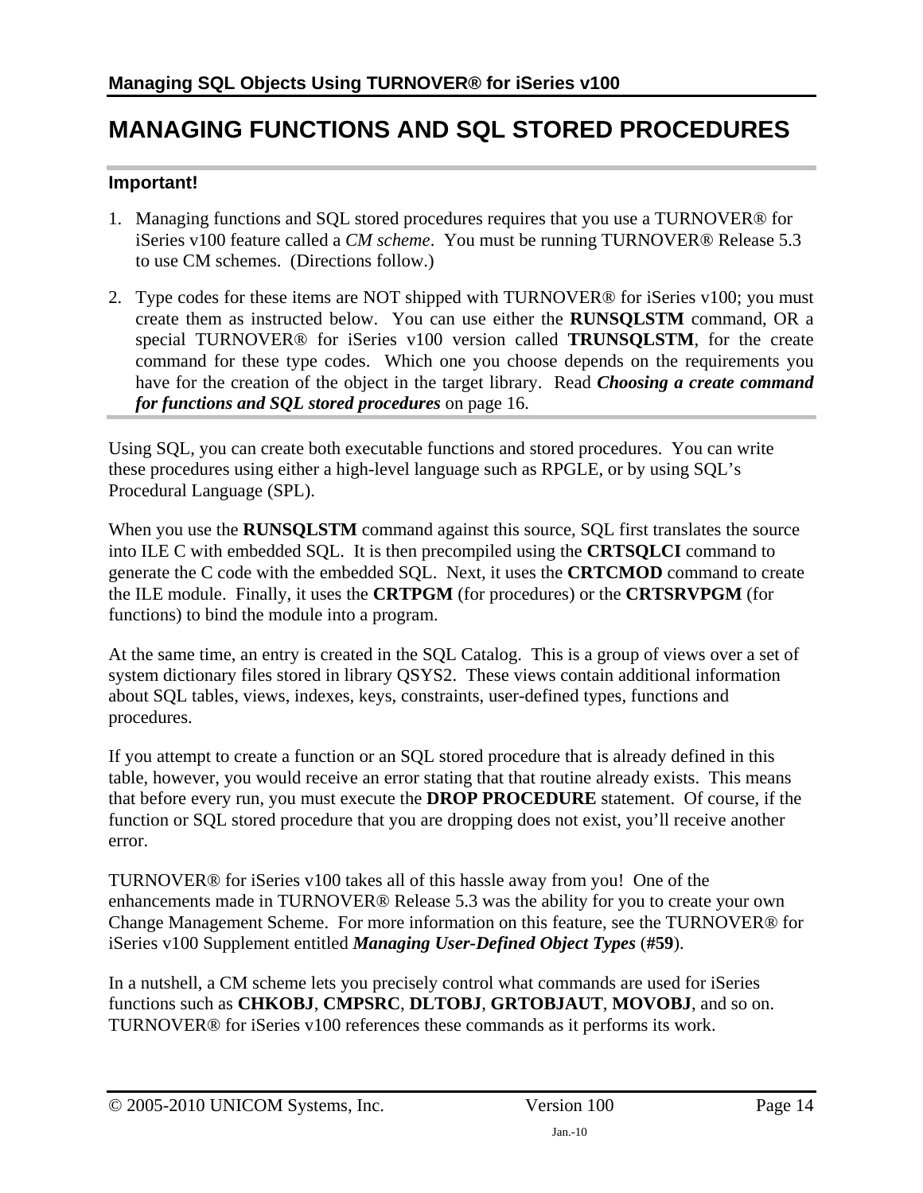## <span id="page-13-1"></span><span id="page-13-0"></span>**MANAGING FUNCTIONS AND SQL STORED PROCEDURES**

#### **Important!**

- 1. Managing functions and SQL stored procedures requires that you use a TURNOVER® for iSeries v100 feature called a *CM scheme*. You must be running TURNOVER® Release 5.3 to use CM schemes. (Directions follow.)
- 2. Type codes for these items are NOT shipped with TURNOVER® for iSeries v100; you must create them as instructed below. You can use either the **RUNSQLSTM** command, OR a special TURNOVER® for iSeries v100 version called **TRUNSQLSTM**, for the create command for these type codes. Which one you choose depends on the requirements you have for the creation of the object in the target library. Read *[Choosing a create command](#page-15-2)  [for functions and SQL stored procedures](#page-15-2)* on page [16](#page-15-2).

Using SQL, you can create both executable functions and stored procedures. You can write these procedures using either a high-level language such as RPGLE, or by using SQL's Procedural Language (SPL).

When you use the **RUNSQLSTM** command against this source, SQL first translates the source into ILE C with embedded SQL. It is then precompiled using the **CRTSQLCI** command to generate the C code with the embedded SQL. Next, it uses the **CRTCMOD** command to create the ILE module. Finally, it uses the **CRTPGM** (for procedures) or the **CRTSRVPGM** (for functions) to bind the module into a program.

At the same time, an entry is created in the SQL Catalog. This is a group of views over a set of system dictionary files stored in library QSYS2. These views contain additional information about SQL tables, views, indexes, keys, constraints, user-defined types, functions and procedures.

If you attempt to create a function or an SQL stored procedure that is already defined in this table, however, you would receive an error stating that that routine already exists. This means that before every run, you must execute the **DROP PROCEDURE** statement. Of course, if the function or SQL stored procedure that you are dropping does not exist, you'll receive another error.

TURNOVER® for iSeries v100 takes all of this hassle away from you! One of the enhancements made in TURNOVER® Release 5.3 was the ability for you to create your own Change Management Scheme. For more information on this feature, see the TURNOVER® for iSeries v100 Supplement entitled *Managing User-Defined Object Types* (**#59**).

In a nutshell, a CM scheme lets you precisely control what commands are used for iSeries functions such as **CHKOBJ**, **CMPSRC**, **DLTOBJ**, **GRTOBJAUT**, **MOVOBJ**, and so on. TURNOVER® for iSeries v100 references these commands as it performs its work.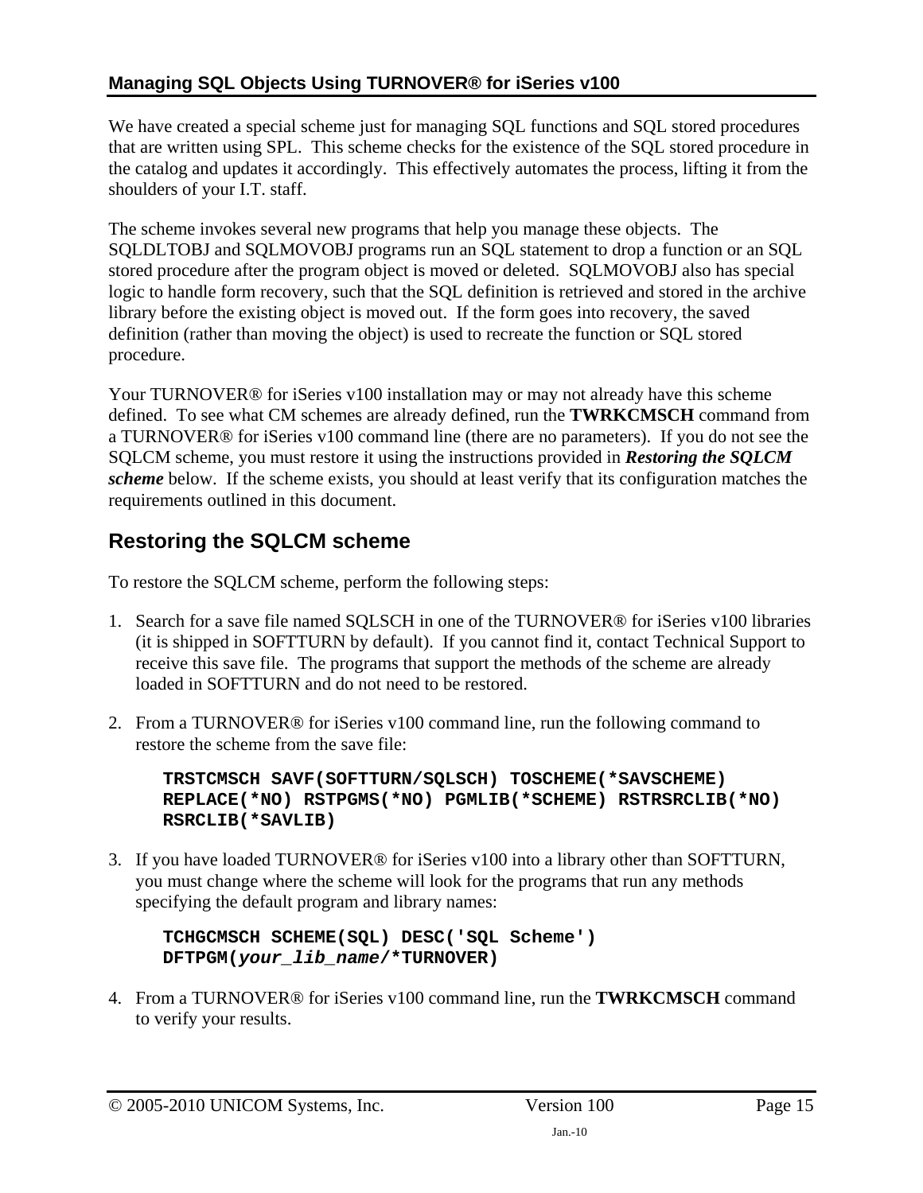### <span id="page-14-0"></span>**Managing SQL Objects Using TURNOVER® for iSeries v100**

We have created a special scheme just for managing SQL functions and SQL stored procedures that are written using SPL. This scheme checks for the existence of the SQL stored procedure in the catalog and updates it accordingly. This effectively automates the process, lifting it from the shoulders of your I.T. staff.

The scheme invokes several new programs that help you manage these objects. The SQLDLTOBJ and SQLMOVOBJ programs run an SQL statement to drop a function or an SQL stored procedure after the program object is moved or deleted. SQLMOVOBJ also has special logic to handle form recovery, such that the SQL definition is retrieved and stored in the archive library before the existing object is moved out. If the form goes into recovery, the saved definition (rather than moving the object) is used to recreate the function or SQL stored procedure.

Your TURNOVER® for iSeries v100 installation may or may not already have this scheme defined. To see what CM schemes are already defined, run the **TWRKCMSCH** command from a TURNOVER® for iSeries v100 command line (there are no parameters). If you do not see the SQLCM scheme, you must restore it using the instructions provided in *[Restoring the SQLCM](#page-14-1)  [scheme](#page-14-1)* below. If the scheme exists, you should at least verify that its configuration matches the requirements outlined in this document.

## <span id="page-14-1"></span>**Restoring the SQLCM scheme**

To restore the SQLCM scheme, perform the following steps:

- 1. Search for a save file named SQLSCH in one of the TURNOVER® for iSeries v100 libraries (it is shipped in SOFTTURN by default). If you cannot find it, contact Technical Support to receive this save file. The programs that support the methods of the scheme are already loaded in SOFTTURN and do not need to be restored.
- 2. From a TURNOVER® for iSeries v100 command line, run the following command to restore the scheme from the save file:

**TRSTCMSCH SAVF(SOFTTURN/SQLSCH) TOSCHEME(\*SAVSCHEME) REPLACE(\*NO) RSTPGMS(\*NO) PGMLIB(\*SCHEME) RSTRSRCLIB(\*NO) RSRCLIB(\*SAVLIB)** 

3. If you have loaded TURNOVER® for iSeries v100 into a library other than SOFTTURN, you must change where the scheme will look for the programs that run any methods specifying the default program and library names:

**TCHGCMSCH SCHEME(SQL) DESC('SQL Scheme') DFTPGM(***your\_lib\_name***/\*TURNOVER)** 

4. From a TURNOVER® for iSeries v100 command line, run the **TWRKCMSCH** command to verify your results.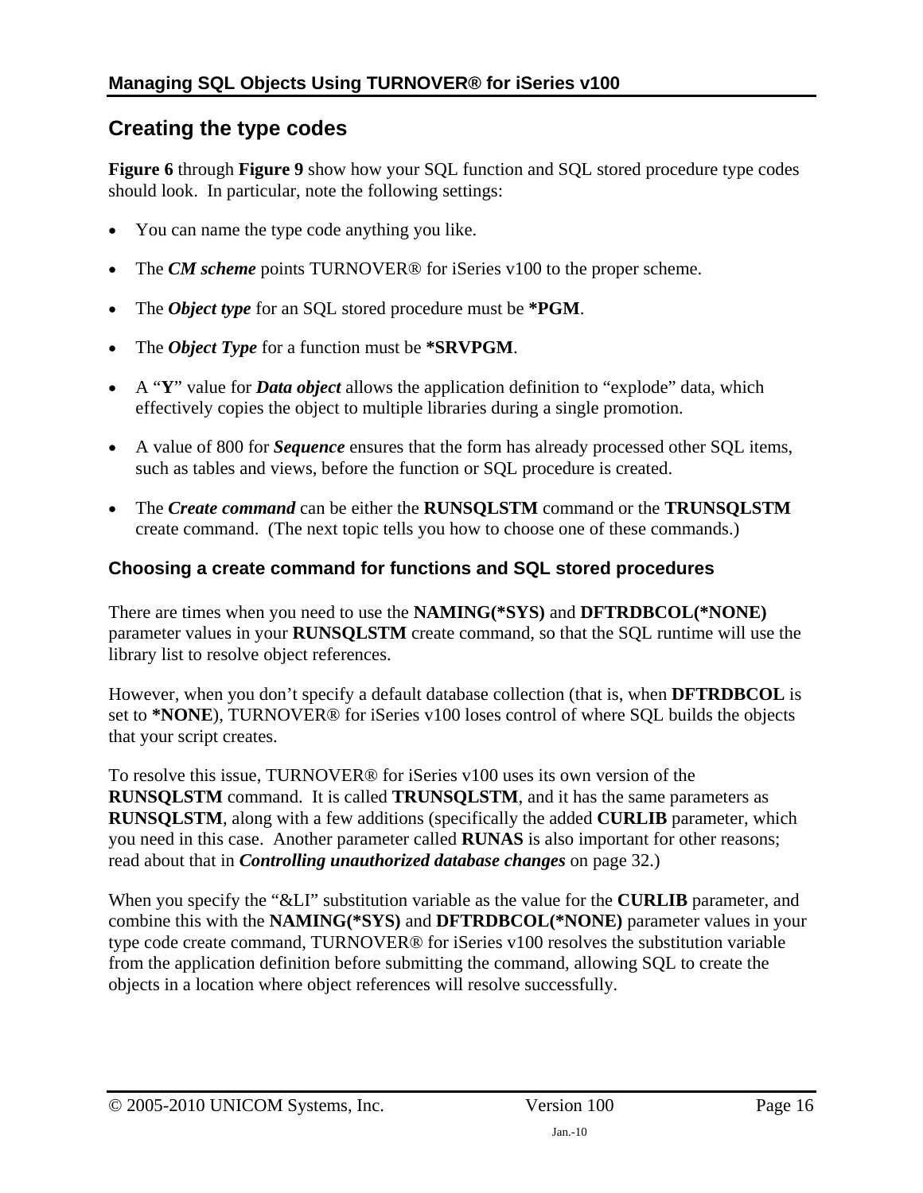### <span id="page-15-1"></span><span id="page-15-0"></span>**Creating the type codes**

**[Figure 6](#page-16-0)** through **[Figure 9](#page-17-0)** show how your SQL function and SQL stored procedure type codes should look. In particular, note the following settings:

- You can name the type code anything you like.
- The *CM scheme* points TURNOVER® for iSeries v100 to the proper scheme.
- The *Object type* for an SQL stored procedure must be **\*PGM**.
- The *Object Type* for a function must be **\*SRVPGM**.
- A "**Y**" value for *Data object* allows the application definition to "explode" data, which effectively copies the object to multiple libraries during a single promotion.
- A value of 800 for *Sequence* ensures that the form has already processed other SQL items, such as tables and views, before the function or SQL procedure is created.
- The *Create command* can be either the **RUNSQLSTM** command or the **TRUNSQLSTM** create command. (The next topic tells you how to choose one of these commands.)

#### <span id="page-15-2"></span>**Choosing a create command for functions and SQL stored procedures**

There are times when you need to use the **NAMING(\*SYS)** and **DFTRDBCOL(\*NONE)** parameter values in your **RUNSQLSTM** create command, so that the SQL runtime will use the library list to resolve object references.

However, when you don't specify a default database collection (that is, when **DFTRDBCOL** is set to **\*NONE**), TURNOVER® for iSeries v100 loses control of where SQL builds the objects that your script creates.

To resolve this issue, TURNOVER® for iSeries v100 uses its own version of the **RUNSQLSTM** command. It is called **TRUNSQLSTM**, and it has the same parameters as **RUNSQLSTM**, along with a few additions (specifically the added **CURLIB** parameter, which you need in this case. Another parameter called **RUNAS** is also important for other reasons; read about that in *[Controlling unauthorized database changes](#page-31-1)* on page [32](#page-31-1).)

When you specify the "&LI" substitution variable as the value for the **CURLIB** parameter, and combine this with the **NAMING(\*SYS)** and **DFTRDBCOL(\*NONE)** parameter values in your type code create command, TURNOVER® for iSeries v100 resolves the substitution variable from the application definition before submitting the command, allowing SQL to create the objects in a location where object references will resolve successfully.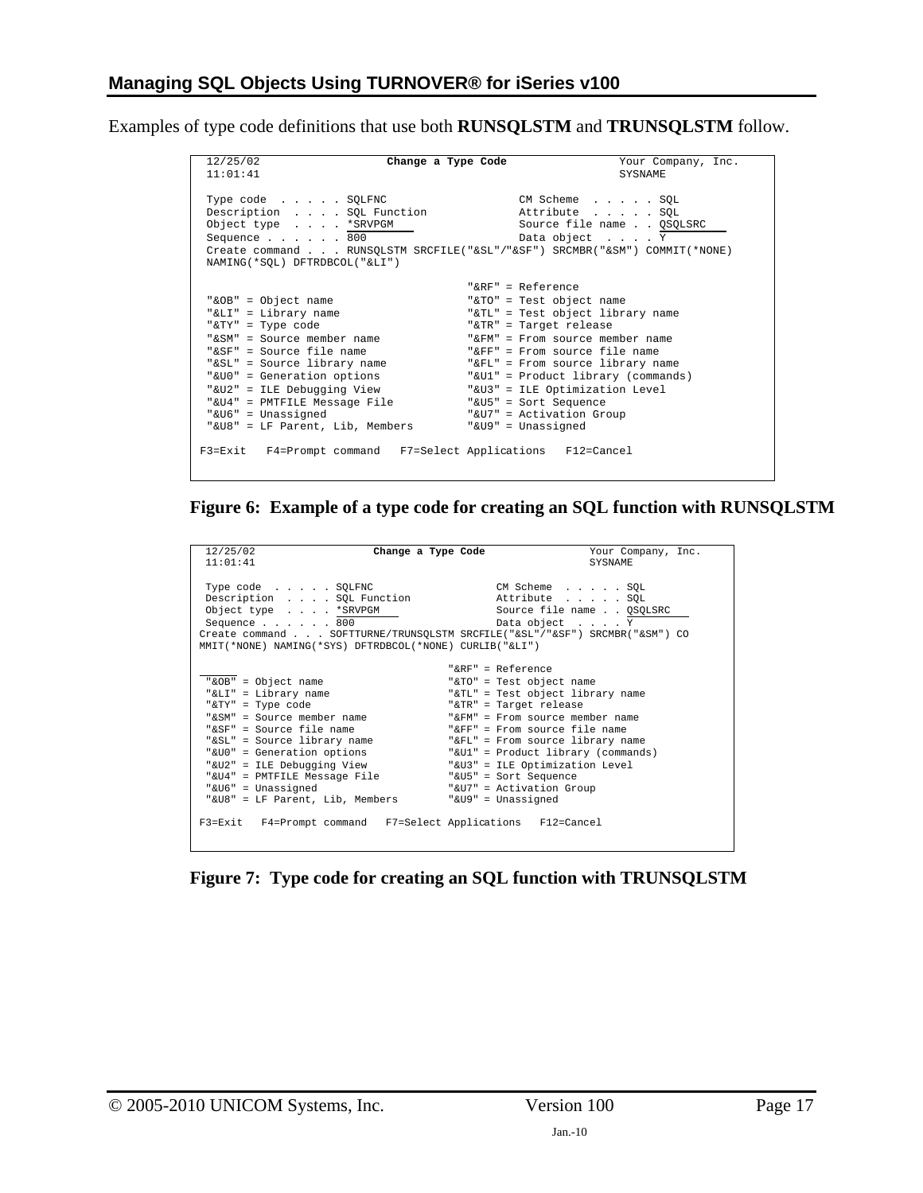Examples of type code definitions that use both **RUNSQLSTM** and **TRUNSQLSTM** follow.

| 12/25/02<br>11:01:41                                                                                                                                                                                                                                                                                           | Change a Type Code<br>Your Company, Inc.<br>SYSNAME                                                                                                                                                                                                                                                                                                                         |
|----------------------------------------------------------------------------------------------------------------------------------------------------------------------------------------------------------------------------------------------------------------------------------------------------------------|-----------------------------------------------------------------------------------------------------------------------------------------------------------------------------------------------------------------------------------------------------------------------------------------------------------------------------------------------------------------------------|
| Type code SQLFNC<br>Description SQL Function<br>Object type *SRVPGM<br>Sequence 800<br>NAMING(*SQL) DFTRDBCOL("&LI")                                                                                                                                                                                           | CM Scheme SQL<br>Attribute SQL<br>Source file name QSQLSRC<br>Data object Y<br>Create command RUNSQLSTM SRCFILE("&SL"/"&SF") SRCMBR("&SM") COMMIT(*NONE)                                                                                                                                                                                                                    |
| "&OB" = Object name<br>"&LI" = Library name<br>"&TY" = Type code<br>"&SM" = Source member name<br>"&SF" = Source file name<br>"&SL" = Source library name<br>"&UO" = Generation options<br>"&U2" = ILE Debugging View<br>"&U4" = PMTFILE Message File<br>"&U6" = Unassigned<br>"&U8" = LF Parent, Lib, Members | "&RF" = Reference<br>"&TO" = Test object name<br>"&TL" = Test object library name<br>"&TR" = Target release<br>" $\&$ FM" = From source member name<br>"&FF" = From source file name<br>"&FL" = From source library name<br>"&U1" = Product library (commands)<br>"&U3" = ILE Optimization Level<br>"&U5" = Sort Sequence<br>"&U7" = Activation Group<br>"&U9" = Unassigned |
| F3=Exit F4=Prompt command F7=Select Applications F12=Cancel                                                                                                                                                                                                                                                    |                                                                                                                                                                                                                                                                                                                                                                             |

<span id="page-16-0"></span>**Figure 6: Example of a type code for creating an SQL function with RUNSQLSTM** 

| 12/25/02<br>11:01:41                                                                                                                                                                                                                                                                                           | Change a Type Code | Your Company, Inc.<br><b>SYSNAME</b>                                                                                                                                                                                                                                                                                                              |
|----------------------------------------------------------------------------------------------------------------------------------------------------------------------------------------------------------------------------------------------------------------------------------------------------------------|--------------------|---------------------------------------------------------------------------------------------------------------------------------------------------------------------------------------------------------------------------------------------------------------------------------------------------------------------------------------------------|
| Type code SQLFNC<br>Description SQL Function<br>Object type * SRVPGM<br>Sequence 800<br>MMIT(*NONE) NAMING(*SYS) DFTRDBCOL(*NONE) CURLIB("&LI")                                                                                                                                                                |                    | CM Scheme SQL<br>Attribute SQL<br>Source file name QSQLSRC<br>Data object Y<br>Create command SOFTTURNE/TRUNSOLSTM SRCFILE("&SL"/"&SF") SRCMBR("&SM") CO                                                                                                                                                                                          |
|                                                                                                                                                                                                                                                                                                                |                    | " $RRF" = Referrence$                                                                                                                                                                                                                                                                                                                             |
| "&OB" = Object name<br>"&LI" = Library name<br>"&TY" = Type code<br>"&SM" = Source member name<br>"&SF" = Source file name<br>"&SL" = Source library name<br>"&UO" = Generation options<br>"&U2" = ILE Debugging View<br>"&U4" = PMTFILE Message File<br>"&U6" = Unassigned<br>"&U8" = LF Parent, Lib, Members |                    | "&TO" = Test object name<br>"&TL" = Test object library name<br>"&TR" = Target release<br>"&FM" = From source member name<br>"&FF" = From source file name<br>"&FL" = From source library name<br>"&Ul" = Product library (commands)<br>"&U3" = ILE Optimization Level<br>"&U5" = Sort Sequence<br>"&U7" = Activation Group<br>"&U9" = Unassigned |
| F3=Exit F4=Prompt command F7=Select Applications F12=Cancel                                                                                                                                                                                                                                                    |                    |                                                                                                                                                                                                                                                                                                                                                   |

**Figure 7: Type code for creating an SQL function with TRUNSQLSTM**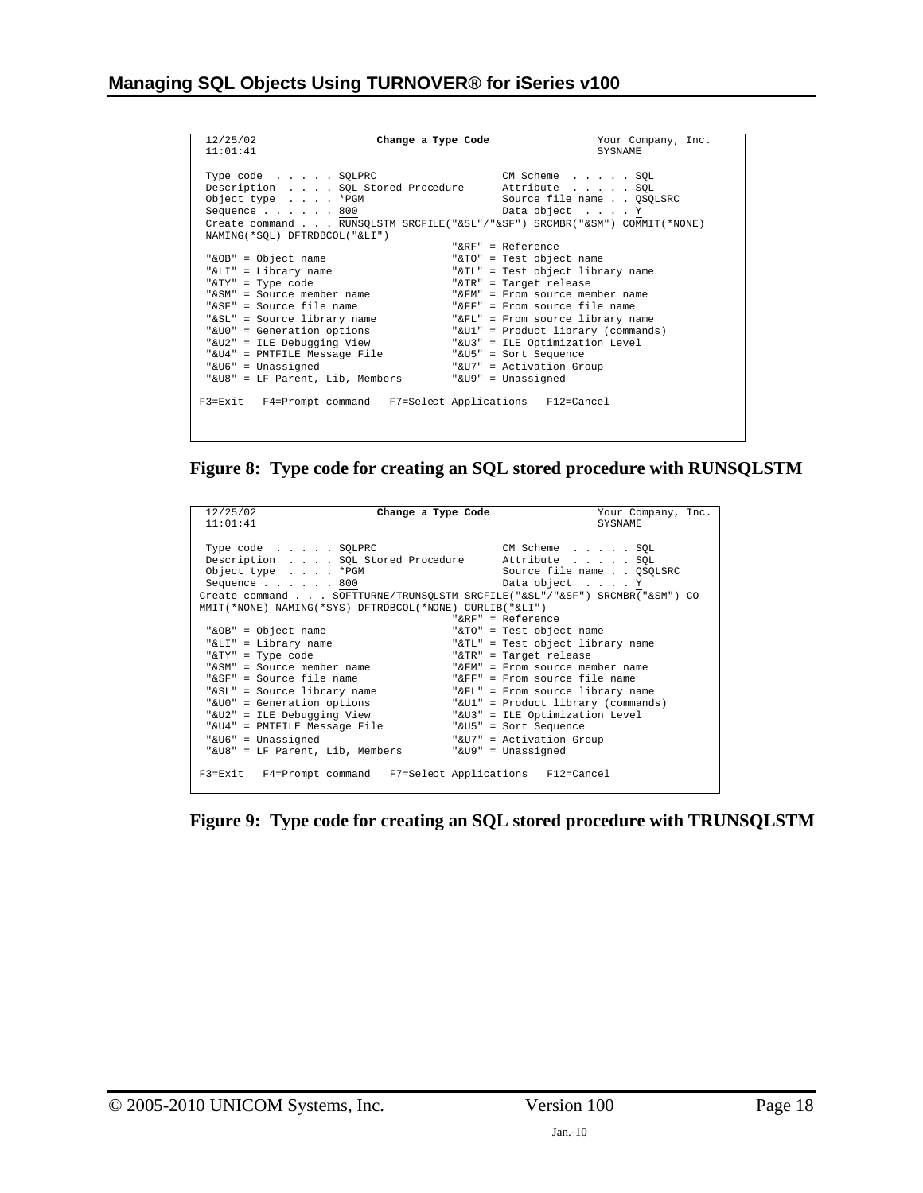| 12/25/02<br>Change a Type Code<br>11:01:41                                                                                                                                                                                                            | Your Company, Inc.<br><b>SYSNAME</b>                                                                                                                                                                                                                                                                                         |
|-------------------------------------------------------------------------------------------------------------------------------------------------------------------------------------------------------------------------------------------------------|------------------------------------------------------------------------------------------------------------------------------------------------------------------------------------------------------------------------------------------------------------------------------------------------------------------------------|
| Type code SQLPRC<br>Description SQL Stored Procedure<br>Object type * PGM<br>Sequence $\ldots$ $\ldots$ 800<br>NAMING (*SOL) DFTRDBCOL ("&LI")                                                                                                        | CM Scheme SQL<br>Attribute SQL<br>Source file name QSQLSRC<br>Data object Y<br>Create command RUNSOLSTM SRCFILE("&SL"/"&SF") SRCMBR("&SM") COMMIT(*NONE)                                                                                                                                                                     |
| "&OB" = Object name<br>"&LI" = Library name<br>"&TY" = Type code<br>"&SM" = Source member name<br>"&SF" = Source file name<br>"&SL" = Source library name<br>"&U0" = Generation options<br>"&U2" = ILE Debugging View<br>"&U4" = PMTFILE Message File | " $R$ R $F$ " = Reference<br>"&TO" = Test object name<br>"&TL" = Test object library name<br>"&TR" = Target release<br>"&FM" = From source member name<br>"&FF" = From source file name<br>"&FL" = From source library name<br>"&Ul" = Product library (commands)<br>"&U3" = ILE Optimization Level<br>"&U5" = Sort Sequence |
| "&U6" = Unassigned<br>"&U8" = LF Parent, Lib, Members<br>F3=Exit F4=Prompt command F7=Select Applications F12=Cancel                                                                                                                                  | "&U7" = Activation Group<br>"&U9" = Unassigned                                                                                                                                                                                                                                                                               |

**Figure 8: Type code for creating an SQL stored procedure with RUNSQLSTM** 

| 12/25/02<br>11:01:41                                                                                            | Change a Type Code<br>Your Company, Inc.<br><b>SYSNAME</b>                                                                                                                                |
|-----------------------------------------------------------------------------------------------------------------|-------------------------------------------------------------------------------------------------------------------------------------------------------------------------------------------|
| Type code SQLPRC<br>Object type *PGM<br>Sequence 800<br>MMIT(*NONE) NAMING(*SYS) DFTRDBCOL(*NONE) CURLIB("&LI") | CM Scheme SQL<br>Description SQL Stored Procedure Attribute SQL<br>Source file name OSOLSRC<br>Data object Y<br>Create command SOFTTURNE/TRUNSOLSTM SRCFILE("&SL"/"&SF") SRCMBR("&SM") CO |
|                                                                                                                 | " $R$ R $F$ " = Reference                                                                                                                                                                 |
| "&OB" = Object name                                                                                             | "&TO" = Test object name                                                                                                                                                                  |
| "&LI" = Library name                                                                                            | "&TL" = Test object library name                                                                                                                                                          |
| "&TY" = Type code                                                                                               | "&TR" = Target release                                                                                                                                                                    |
| "&SM" = Source member name                                                                                      | "&FM" = From source member name                                                                                                                                                           |
| "&SF" = Source file name                                                                                        | " $F_F$ " = From source file name                                                                                                                                                         |
| "&SL" = Source library name                                                                                     | "&FL" = From source library name                                                                                                                                                          |
| "&UO" = Generation options                                                                                      | "&Ul" = Product library (commands)                                                                                                                                                        |
| "&U2" = ILE Debugging View                                                                                      | "&U3" = ILE Optimization Level                                                                                                                                                            |
| "&U4" = PMTFILE Message File                                                                                    | "&U5" = Sort Sequence                                                                                                                                                                     |
| "&U6" = Unassigned                                                                                              | "&U7" = Activation Group                                                                                                                                                                  |
| "&U8" = LF Parent, Lib, Members                                                                                 | "&U9" = Unassigned                                                                                                                                                                        |
| F3=Exit F4=Prompt command F7=Select Applications F12=Cancel                                                     |                                                                                                                                                                                           |

<span id="page-17-0"></span>**Figure 9: Type code for creating an SQL stored procedure with TRUNSQLSTM**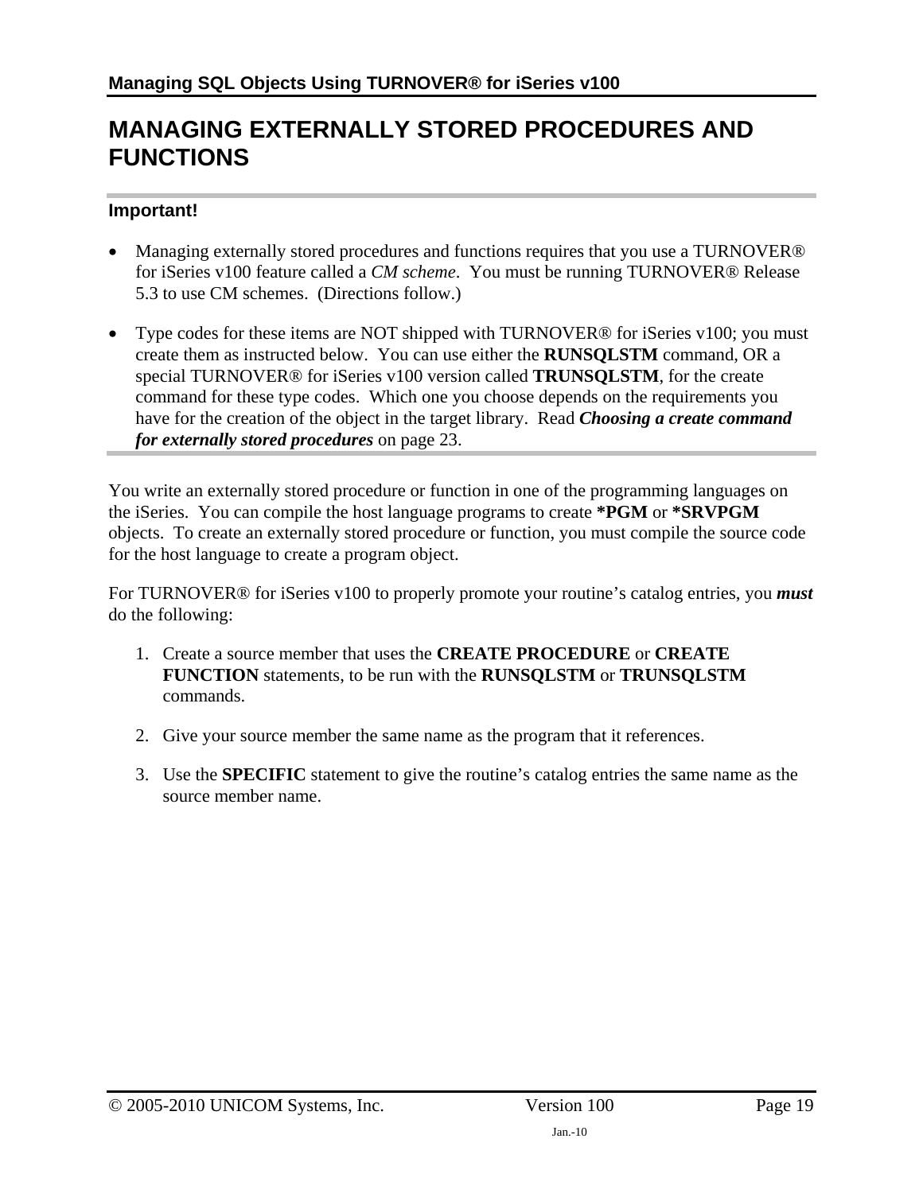## <span id="page-18-1"></span><span id="page-18-0"></span>**MANAGING EXTERNALLY STORED PROCEDURES AND FUNCTIONS**

#### **Important!**

- Managing externally stored procedures and functions requires that you use a TURNOVER<sup>®</sup> for iSeries v100 feature called a *CM scheme*. You must be running TURNOVER® Release 5.3 to use CM schemes. (Directions follow.)
- Type codes for these items are NOT shipped with TURNOVER<sup>®</sup> for iSeries v100; you must create them as instructed below. You can use either the **RUNSQLSTM** command, OR a special TURNOVER® for iSeries v100 version called **TRUNSQLSTM**, for the create command for these type codes. Which one you choose depends on the requirements you have for the creation of the object in the target library. Read *[Choosing a create command](#page-22-2)  [for externally stored procedures](#page-22-2)* on page [23.](#page-22-2)

You write an externally stored procedure or function in one of the programming languages on the iSeries. You can compile the host language programs to create **\*PGM** or **\*SRVPGM** objects. To create an externally stored procedure or function, you must compile the source code for the host language to create a program object.

For TURNOVER® for iSeries v100 to properly promote your routine's catalog entries, you *must* do the following:

- 1. Create a source member that uses the **CREATE PROCEDURE** or **CREATE FUNCTION** statements, to be run with the **RUNSQLSTM** or **TRUNSQLSTM** commands.
- 2. Give your source member the same name as the program that it references.
- 3. Use the **SPECIFIC** statement to give the routine's catalog entries the same name as the source member name.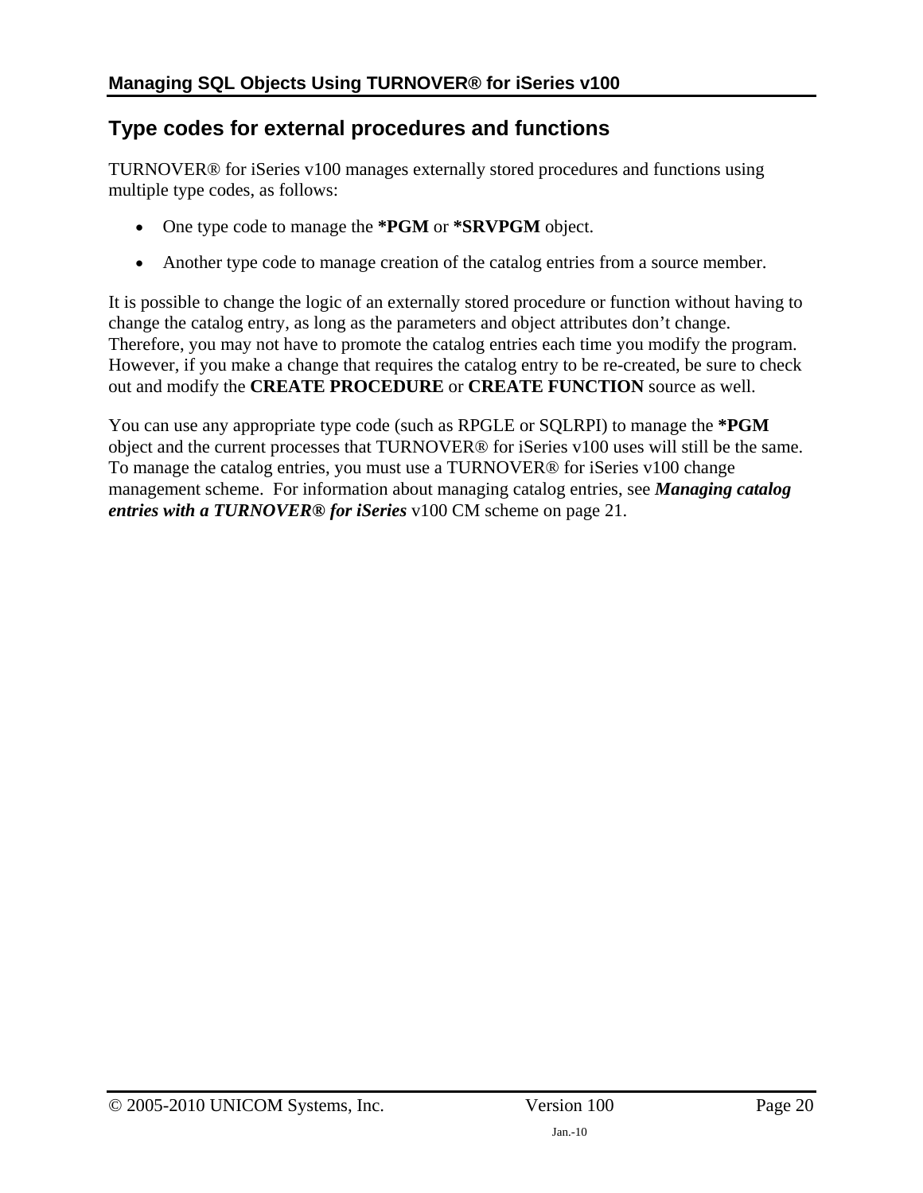### <span id="page-19-1"></span><span id="page-19-0"></span>**Type codes for external procedures and functions**

TURNOVER® for iSeries v100 manages externally stored procedures and functions using multiple type codes, as follows:

- One type code to manage the **\*PGM** or **\*SRVPGM** object.
- Another type code to manage creation of the catalog entries from a source member.

It is possible to change the logic of an externally stored procedure or function without having to change the catalog entry, as long as the parameters and object attributes don't change. Therefore, you may not have to promote the catalog entries each time you modify the program. However, if you make a change that requires the catalog entry to be re-created, be sure to check out and modify the **CREATE PROCEDURE** or **CREATE FUNCTION** source as well.

You can use any appropriate type code (such as RPGLE or SQLRPI) to manage the **\*PGM** object and the current processes that TURNOVER® for iSeries v100 uses will still be the same. To manage the catalog entries, you must use a TURNOVER® for iSeries v100 change management scheme. For information about managing catalog entries, see *[Managing catalog](#page-20-1)  [entries with a TURNOVER® for iSeries](#page-20-1)* v100 CM scheme on page [21](#page-20-1).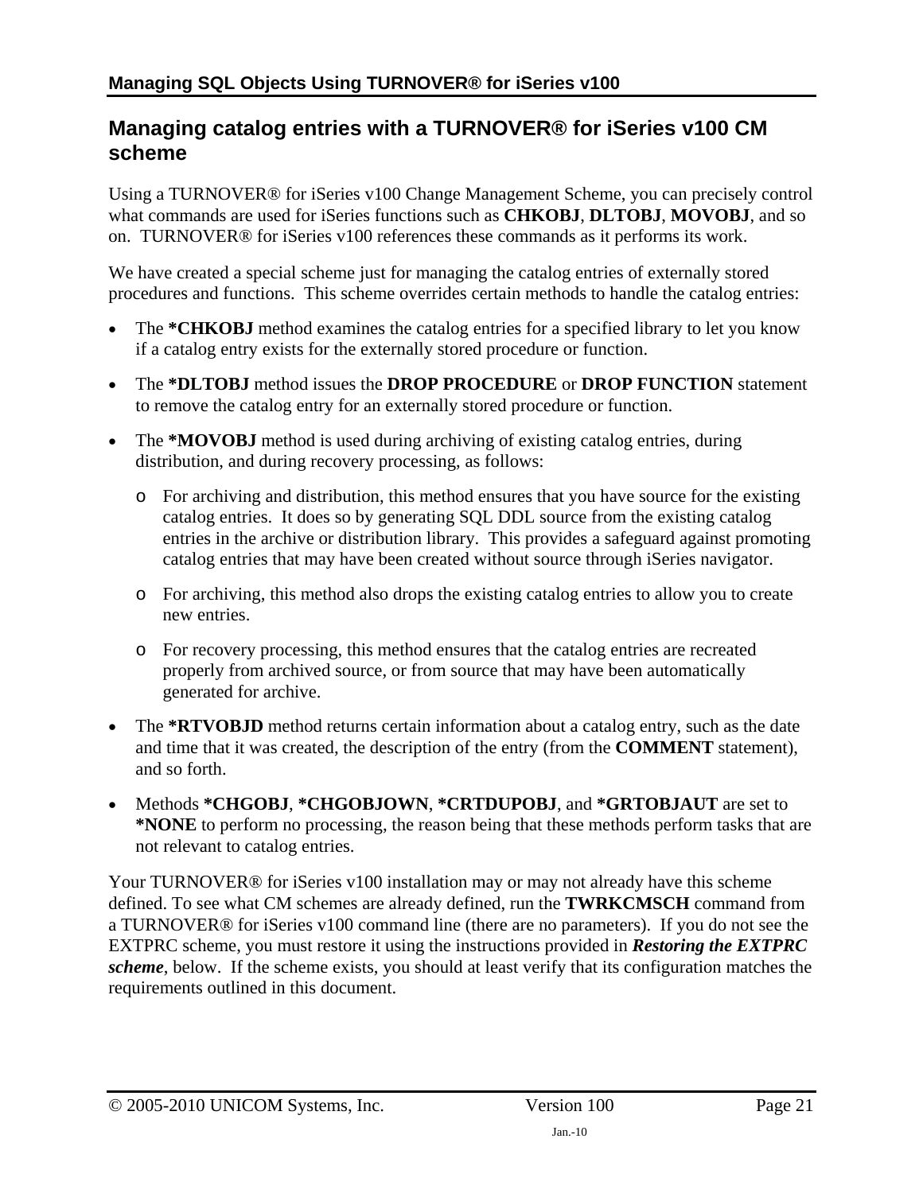### <span id="page-20-1"></span><span id="page-20-0"></span>**Managing catalog entries with a TURNOVER® for iSeries v100 CM scheme**

Using a TURNOVER® for iSeries v100 Change Management Scheme, you can precisely control what commands are used for iSeries functions such as **CHKOBJ**, **DLTOBJ**, **MOVOBJ**, and so on. TURNOVER® for iSeries v100 references these commands as it performs its work.

We have created a special scheme just for managing the catalog entries of externally stored procedures and functions. This scheme overrides certain methods to handle the catalog entries:

- The **\*CHKOBJ** method examines the catalog entries for a specified library to let you know if a catalog entry exists for the externally stored procedure or function.
- The **\*DLTOBJ** method issues the **DROP PROCEDURE** or **DROP FUNCTION** statement to remove the catalog entry for an externally stored procedure or function.
- The **\*MOVOBJ** method is used during archiving of existing catalog entries, during distribution, and during recovery processing, as follows:
	- o For archiving and distribution, this method ensures that you have source for the existing catalog entries. It does so by generating SQL DDL source from the existing catalog entries in the archive or distribution library. This provides a safeguard against promoting catalog entries that may have been created without source through iSeries navigator.
	- o For archiving, this method also drops the existing catalog entries to allow you to create new entries.
	- o For recovery processing, this method ensures that the catalog entries are recreated properly from archived source, or from source that may have been automatically generated for archive.
- The **\*RTVOBJD** method returns certain information about a catalog entry, such as the date and time that it was created, the description of the entry (from the **COMMENT** statement), and so forth.
- Methods **\*CHGOBJ**, **\*CHGOBJOWN**, **\*CRTDUPOBJ**, and **\*GRTOBJAUT** are set to **\*NONE** to perform no processing, the reason being that these methods perform tasks that are not relevant to catalog entries.

Your TURNOVER<sup>®</sup> for iSeries v100 installation may or may not already have this scheme defined. To see what CM schemes are already defined, run the **TWRKCMSCH** command from a TURNOVER® for iSeries v100 command line (there are no parameters). If you do not see the EXTPRC scheme, you must restore it using the instructions provided in *[Restoring the EXTPRC](#page-21-1)  [scheme](#page-21-1)*, [below](#page-21-1). If the scheme exists, you should at least verify that its configuration matches the requirements outlined in this document.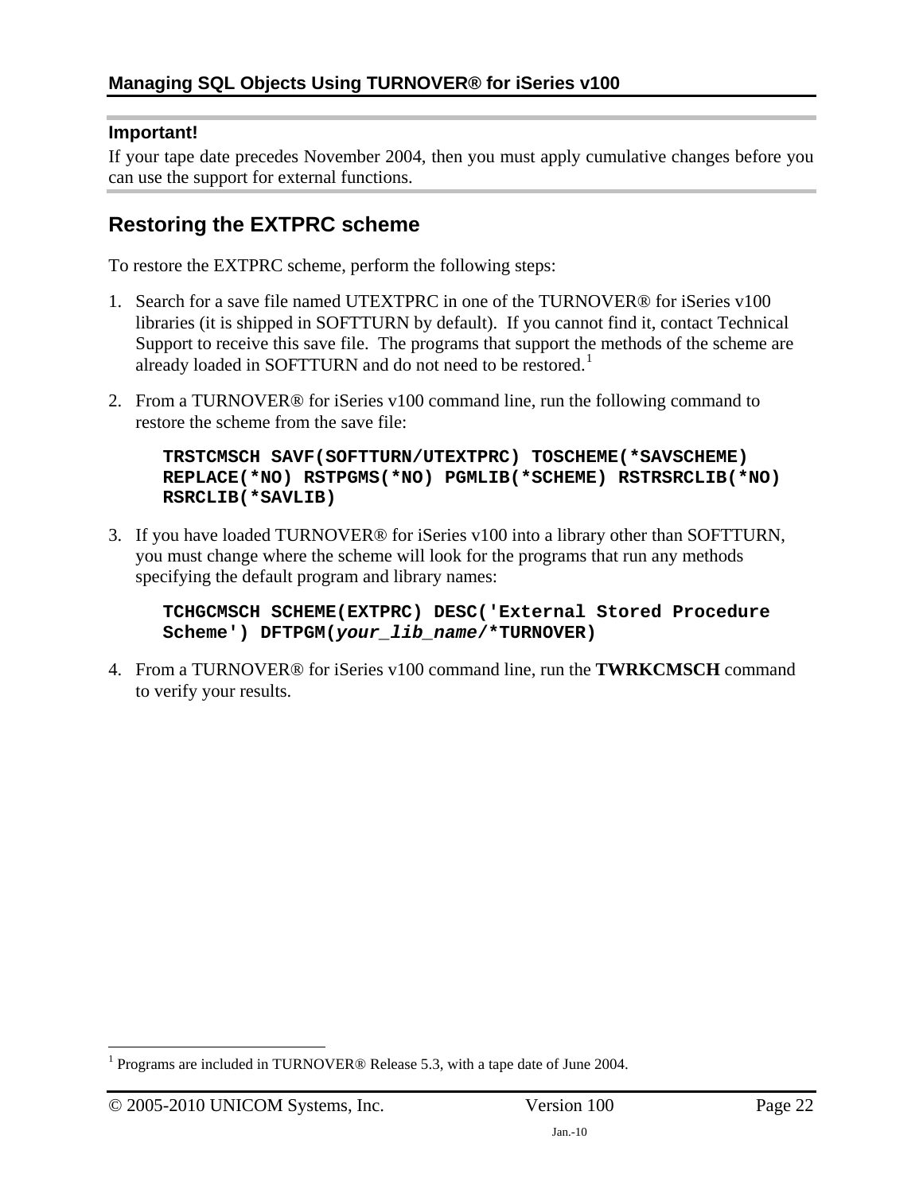#### <span id="page-21-0"></span>**Important!**

If your tape date precedes November 2004, then you must apply cumulative changes before you can use the support for external functions.

### <span id="page-21-1"></span>**Restoring the EXTPRC scheme**

To restore the EXTPRC scheme, perform the following steps:

- 1. Search for a save file named UTEXTPRC in one of the TURNOVER® for iSeries v100 libraries (it is shipped in SOFTTURN by default). If you cannot find it, contact Technical Support to receive this save file. The programs that support the methods of the scheme are already loaded in SOFTTURN and do not need to be restored.<sup>[1](#page-21-2)</sup>
- 2. From a TURNOVER® for iSeries v100 command line, run the following command to restore the scheme from the save file:

**TRSTCMSCH SAVF(SOFTTURN/UTEXTPRC) TOSCHEME(\*SAVSCHEME) REPLACE(\*NO) RSTPGMS(\*NO) PGMLIB(\*SCHEME) RSTRSRCLIB(\*NO) RSRCLIB(\*SAVLIB)** 

3. If you have loaded TURNOVER® for iSeries v100 into a library other than SOFTTURN, you must change where the scheme will look for the programs that run any methods specifying the default program and library names:

**TCHGCMSCH SCHEME(EXTPRC) DESC('External Stored Procedure Scheme') DFTPGM(***your\_lib\_name***/\*TURNOVER)** 

4. From a TURNOVER® for iSeries v100 command line, run the **TWRKCMSCH** command to verify your results.

 $\overline{a}$ 

<span id="page-21-2"></span><sup>&</sup>lt;sup>1</sup> Programs are included in TURNOVER® Release 5.3, with a tape date of June 2004.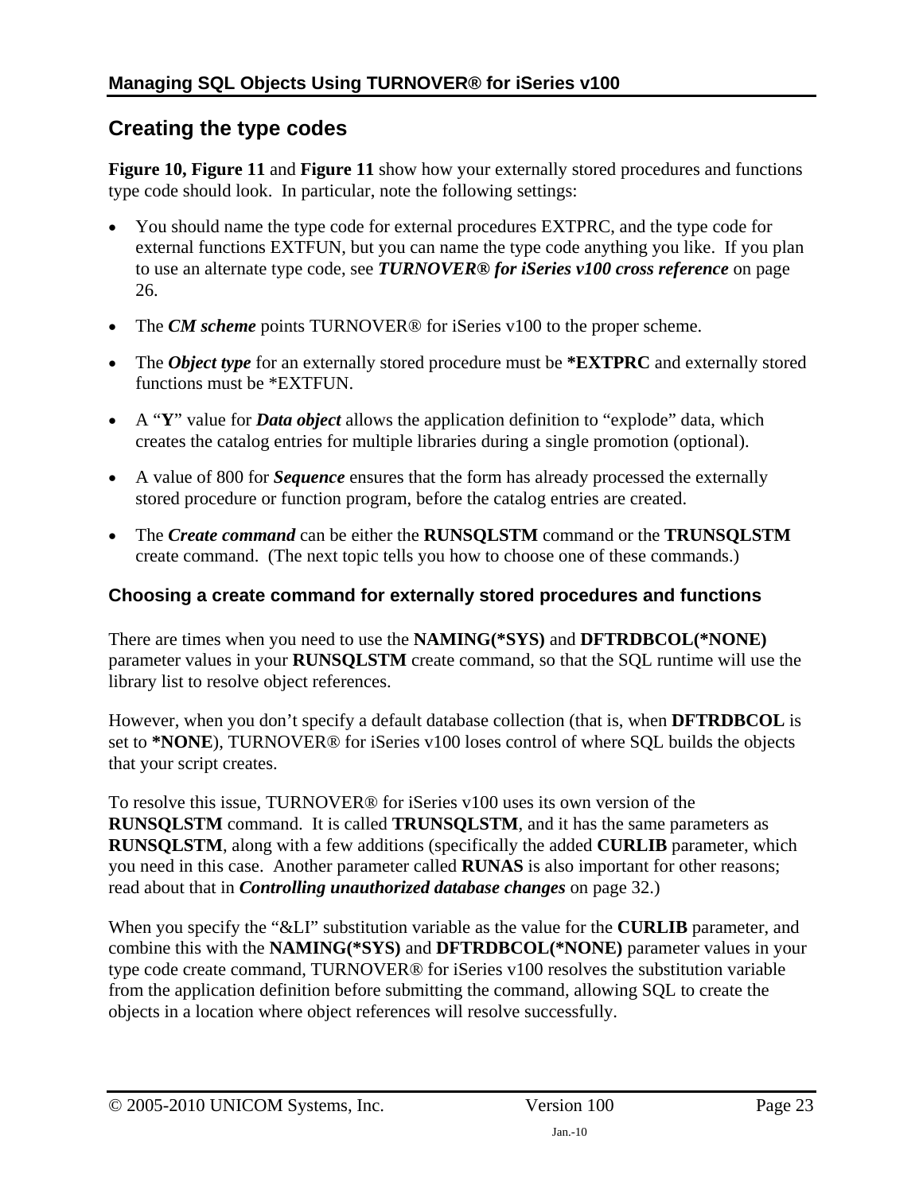## <span id="page-22-1"></span><span id="page-22-0"></span>**Creating the type codes**

**[Figure 10](#page-23-0), [Figure 11](#page-24-0)** and **[Figure 11](#page-24-0)** show how your externally stored procedures and functions type code should look. In particular, note the following settings:

- You should name the type code for external procedures EXTPRC, and the type code for external functions EXTFUN, but you can name the type code anything you like. If you plan to use an alternate type code, see *[TURNOVER® for iSeries v100 cross reference](#page-26-1)* on page [26](#page-26-3).
- The *CM scheme* points TURNOVER<sup>®</sup> for iSeries v100 to the proper scheme.
- The *Object type* for an externally stored procedure must be **\*EXTPRC** and externally stored functions must be \*EXTFUN.
- A "**Y**" value for *Data object* allows the application definition to "explode" data, which creates the catalog entries for multiple libraries during a single promotion (optional).
- A value of 800 for *Sequence* ensures that the form has already processed the externally stored procedure or function program, before the catalog entries are created.
- The *Create command* can be either the **RUNSQLSTM** command or the **TRUNSQLSTM** create command. (The next topic tells you how to choose one of these commands.)

### <span id="page-22-2"></span>**Choosing a create command for externally stored procedures and functions**

There are times when you need to use the **NAMING(\*SYS)** and **DFTRDBCOL(\*NONE)** parameter values in your **RUNSQLSTM** create command, so that the SQL runtime will use the library list to resolve object references.

However, when you don't specify a default database collection (that is, when **DFTRDBCOL** is set to **\*NONE**), TURNOVER® for iSeries v100 loses control of where SQL builds the objects that your script creates.

To resolve this issue, TURNOVER® for iSeries v100 uses its own version of the **RUNSQLSTM** command. It is called **TRUNSQLSTM**, and it has the same parameters as **RUNSQLSTM**, along with a few additions (specifically the added **CURLIB** parameter, which you need in this case. Another parameter called **RUNAS** is also important for other reasons; read about that in *[Controlling unauthorized database changes](#page-31-1)* on page [32](#page-31-1).)

When you specify the "&LI" substitution variable as the value for the **CURLIB** parameter, and combine this with the **NAMING(\*SYS)** and **DFTRDBCOL(\*NONE)** parameter values in your type code create command, TURNOVER® for iSeries v100 resolves the substitution variable from the application definition before submitting the command, allowing SQL to create the objects in a location where object references will resolve successfully.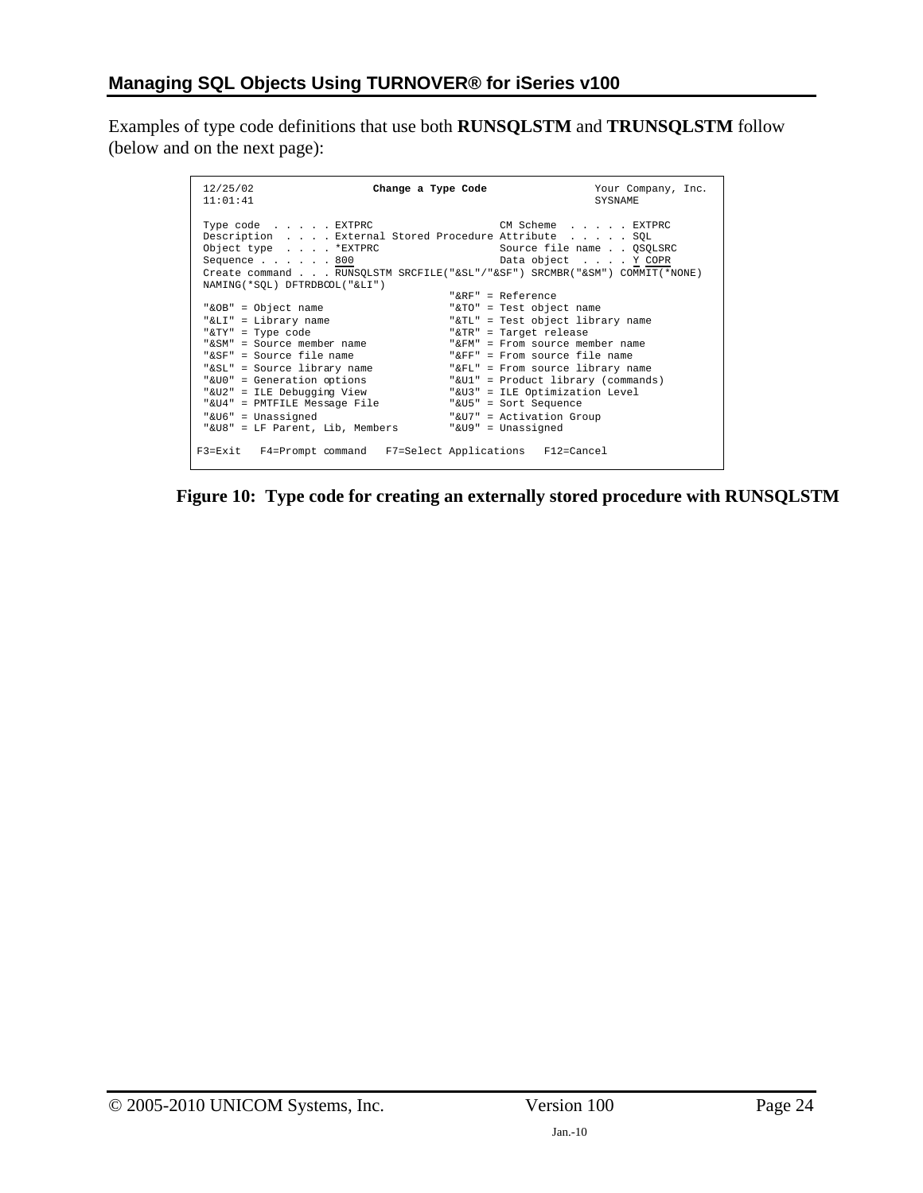Examples of type code definitions that use both **RUNSQLSTM** and **TRUNSQLSTM** follow (below and on the next page):

| 12/25/02<br>11:01:41                                                                                         | Change a Type Code<br>Your Company, Inc.<br>SYSNAME                                                                                                                                                    |
|--------------------------------------------------------------------------------------------------------------|--------------------------------------------------------------------------------------------------------------------------------------------------------------------------------------------------------|
| Type code EXTPRC<br>Object type *EXTPRC<br>Sequence $\ldots$ $\ldots$ 800<br>NAMING (*SOL) DFTRDBCOL ("&LI") | CM Scheme EXTPRC<br>Description External Stored Procedure Attribute SQL<br>Source file name OSOLSRC<br>Data object Y COPR<br>Create command RUNSQLSTM SRCFILE("&SL"/"&SF") SRCMBR("&SM") COMMIT(*NONE) |
|                                                                                                              | " $RRF" = Referrence$                                                                                                                                                                                  |
| "&OB" = Object name                                                                                          | "&TO" = Test object name                                                                                                                                                                               |
| "&LI" = Library name                                                                                         | "&TL" = Test object library name                                                                                                                                                                       |
| "&TY" = Type code                                                                                            | "&TR" = Target release                                                                                                                                                                                 |
| "&SM" = Source member name                                                                                   | "&FM" = From source member name                                                                                                                                                                        |
| "&SF" = Source file name                                                                                     | "&FF" = From source file name                                                                                                                                                                          |
| "&SL" = Source library name                                                                                  | "&FL" = From source library name                                                                                                                                                                       |
| "&U0" = Generation options                                                                                   | "&U1" = Product library (commands)                                                                                                                                                                     |
| "&U2" = ILE Debuqqinq View                                                                                   | "&U3" = ILE Optimization Level                                                                                                                                                                         |
| "&U4" = PMTFILE Message File                                                                                 | "&U5" = Sort Sequence                                                                                                                                                                                  |
| "&U6" = Unassigned                                                                                           | "&U7" = Activation Group                                                                                                                                                                               |
| "&U8" = LF Parent, Lib, Members                                                                              | "&U9" = Unassigned                                                                                                                                                                                     |
| F3=Exit F4=Prompt command F7=Select Applications F12=Cancel                                                  |                                                                                                                                                                                                        |

<span id="page-23-0"></span>**Figure 10: Type code for creating an externally stored procedure with RUNSQLSTM**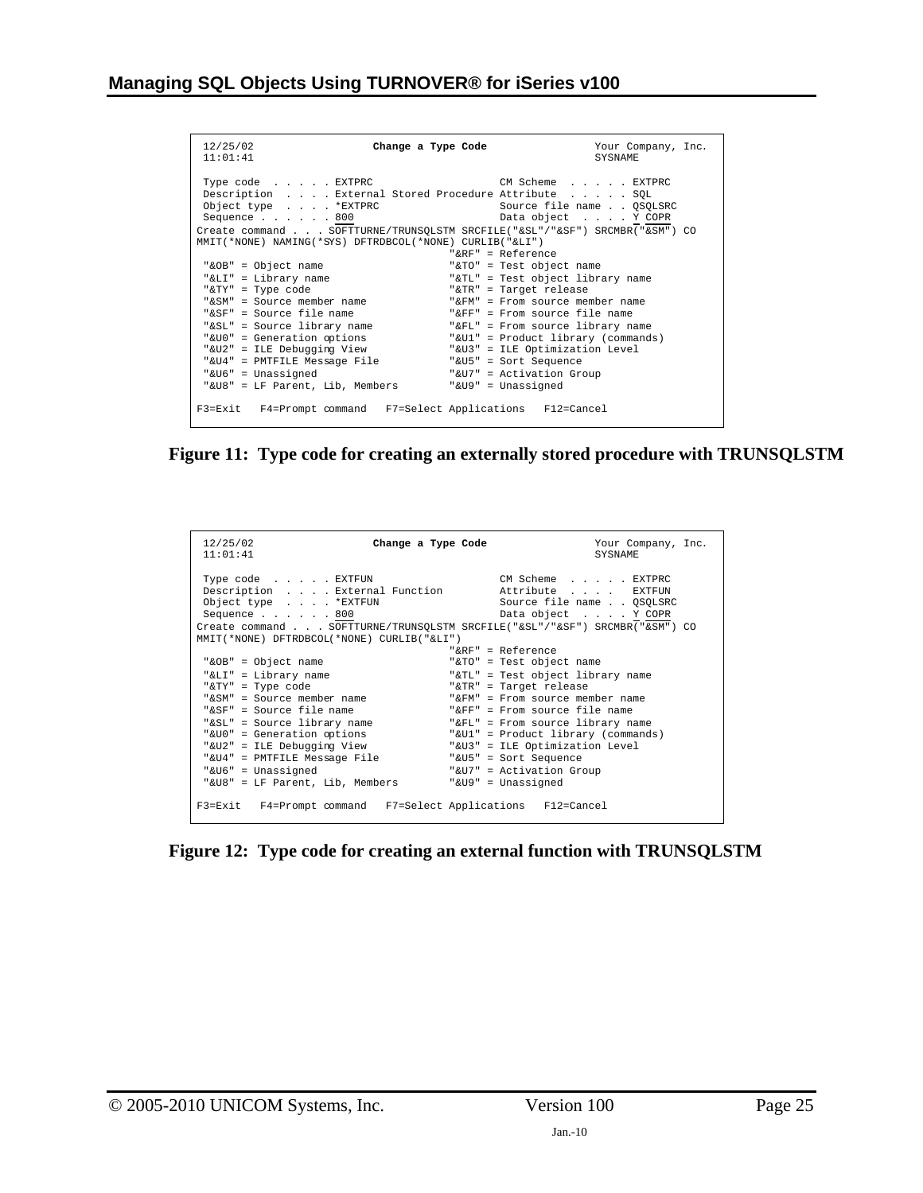| 12/25/02<br>Change a Type Code<br>11:01:41                                                                                                                                                                                                                               | Your Company, Inc.<br><b>SYSNAME</b>                               |  |
|--------------------------------------------------------------------------------------------------------------------------------------------------------------------------------------------------------------------------------------------------------------------------|--------------------------------------------------------------------|--|
| Type code EXTPRC<br>Description External Stored Procedure Attribute SQL<br>Object type *EXTPRC<br>Sequence $\ldots$ $\ldots$ 800<br>Create command SOFTTURNE/TRUNSOLSTM SRCFILE("&SL"/"&SF") SRCMBR("&SM") CO<br>MMIT(*NONE) NAMING(*SYS) DFTRDBCOL(*NONE) CURLIB("&LI") | CM Scheme EXTPRC<br>Source file name OSOLSRC<br>Data object Y COPR |  |
|                                                                                                                                                                                                                                                                          | " $R$ R $F$ " = Reference                                          |  |
| "&OB" = Object name                                                                                                                                                                                                                                                      | "&TO" = Test object name                                           |  |
| "&LI" = Library name                                                                                                                                                                                                                                                     | "&TL" = Test object library name                                   |  |
| "&TY" = Type code                                                                                                                                                                                                                                                        | "&TR" = Target release                                             |  |
| "&SM" = Source member name                                                                                                                                                                                                                                               | "&FM" = From source member name                                    |  |
| "&SF" = Source file name                                                                                                                                                                                                                                                 | "&FF" = From source file name                                      |  |
| "&SL" = Source library name "&FL" = From source library name                                                                                                                                                                                                             |                                                                    |  |
| "&U0" = Generation options "&U1" = Product library (commands)                                                                                                                                                                                                            |                                                                    |  |
| "&U2" = ILE Debugging View                                                                                                                                                                                                                                               | "&U3" = ILE Optimization Level                                     |  |
| "&U4" = PMTFILE Message File                                                                                                                                                                                                                                             | "&U5" = Sort Sequence                                              |  |
| "&U6" = Unassigned                                                                                                                                                                                                                                                       | "&U7" = Activation Group                                           |  |
| "&U8" = LF Parent, Lib, Members                                                                                                                                                                                                                                          | "&U9" = Unassigned                                                 |  |
| F3=Exit F4=Prompt command F7=Select Applications F12=Cancel                                                                                                                                                                                                              |                                                                    |  |

<span id="page-24-0"></span>**Figure 11: Type code for creating an externally stored procedure with TRUNSQLSTM** 

| 12/25/02<br>Change a Type Code<br>11:01:41                                                                                                               | Your Company, Inc.<br><b>SYSNAME</b>                                                                                                            |
|----------------------------------------------------------------------------------------------------------------------------------------------------------|-------------------------------------------------------------------------------------------------------------------------------------------------|
| Type code EXTFUN<br>Description External Function Mattribute EXTFUN<br>Object type *EXTFUN<br>Sequence 800<br>MMIT(*NONE) DFTRDBCOL(*NONE) CURLIB("&LI") | CM Scheme EXTPRC<br>Source file name QSQLSRC<br>Data object Y COPR<br>Create command SOFTTURNE/TRUNSQLSTM SRCFILE("&SL"/"&SF") SRCMBR("&SM") CO |
|                                                                                                                                                          | " $RRF" = Referrence$                                                                                                                           |
| "&OB" = Object name                                                                                                                                      | "&TO" = Test object name                                                                                                                        |
| "&LI" = Library name                                                                                                                                     | "&TL" = Test object library name                                                                                                                |
| "&TY" = Type code                                                                                                                                        | "&TR" = Target release                                                                                                                          |
| "&SM" = Source member name                                                                                                                               | "&FM" = From source member name                                                                                                                 |
| "&SF" = Source file name                                                                                                                                 | "&FF" = From source file name                                                                                                                   |
| "&SL" = Source library name "&FL" = From source library name                                                                                             |                                                                                                                                                 |
| "&U0" = Generation options                                                                                                                               | "&Ul" = Product library (commands)                                                                                                              |
| "&U2" = ILE Debugging View                                                                                                                               | "&U3" = ILE Optimization Level                                                                                                                  |
| "&U4" = PMTFILE Message File                                                                                                                             | "&U5" = Sort Sequence                                                                                                                           |
| "&U6" = Unassigned                                                                                                                                       | "&U7" = Activation Group                                                                                                                        |
| "&U8" = LF Parent, Lib, Members                                                                                                                          | "&U9" = Unassigned                                                                                                                              |
|                                                                                                                                                          |                                                                                                                                                 |
| F3=Exit F4=Prompt command F7=Select Applications F12=Cancel                                                                                              |                                                                                                                                                 |

**Figure 12: Type code for creating an external function with TRUNSQLSTM**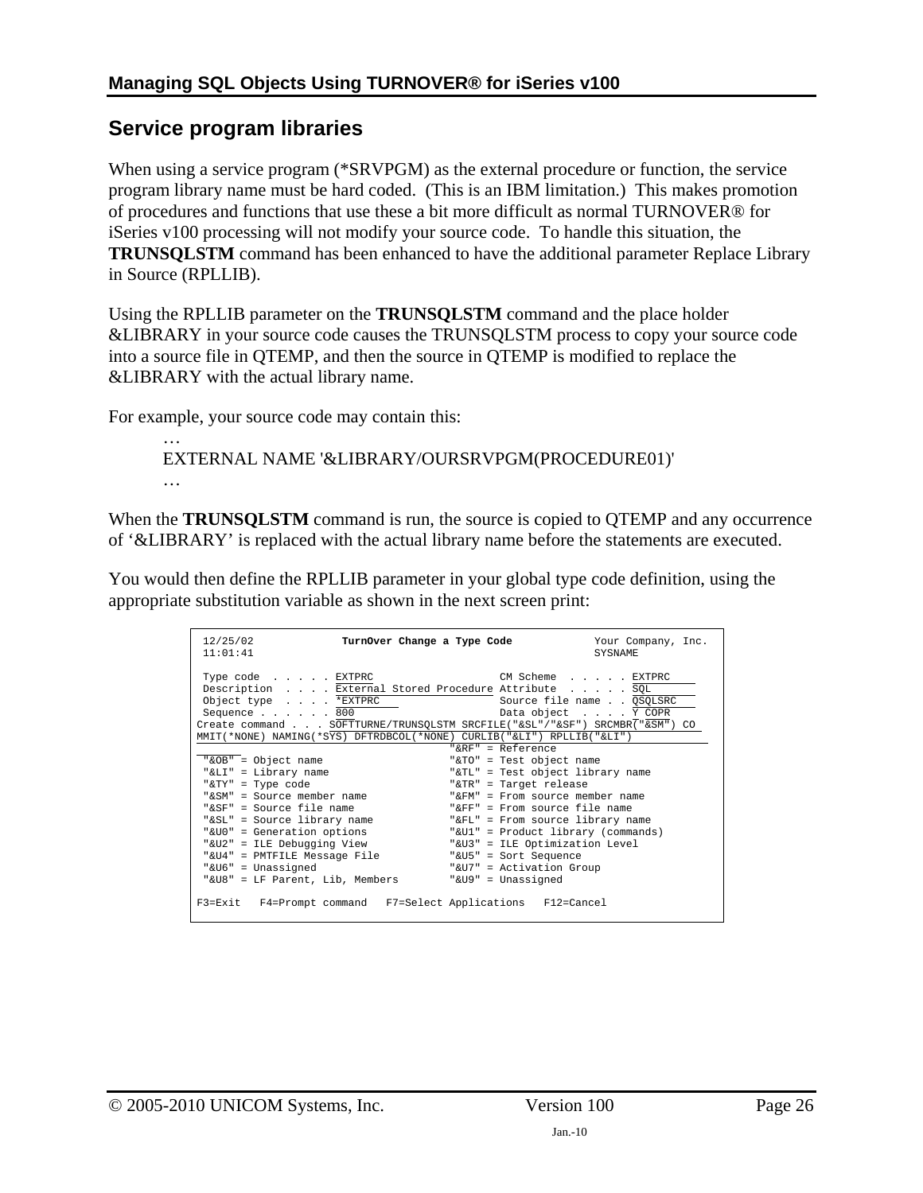### <span id="page-25-1"></span><span id="page-25-0"></span>**Service program libraries**

When using a service program (\*SRVPGM) as the external procedure or function, the service program library name must be hard coded. (This is an IBM limitation.) This makes promotion of procedures and functions that use these a bit more difficult as normal TURNOVER® for iSeries v100 processing will not modify your source code. To handle this situation, the **TRUNSQLSTM** command has been enhanced to have the additional parameter Replace Library in Source (RPLLIB).

Using the RPLLIB parameter on the **TRUNSQLSTM** command and the place holder &LIBRARY in your source code causes the TRUNSQLSTM process to copy your source code into a source file in QTEMP, and then the source in QTEMP is modified to replace the &LIBRARY with the actual library name.

For example, your source code may contain this:

… EXTERNAL NAME '&LIBRARY/OURSRVPGM(PROCEDURE01)' …

When the **TRUNSQLSTM** command is run, the source is copied to QTEMP and any occurrence of '&LIBRARY' is replaced with the actual library name before the statements are executed.

You would then define the RPLLIB parameter in your global type code definition, using the appropriate substitution variable as shown in the next screen print:

| 12/25/02<br>TurnOver Change a Type Code<br>11:01:41                                                                                                                                                                                                                  |                                        | Your Company, Inc.<br><b>SYSNAME</b> |
|----------------------------------------------------------------------------------------------------------------------------------------------------------------------------------------------------------------------------------------------------------------------|----------------------------------------|--------------------------------------|
| Type code EXTPRC<br>Description External Stored Procedure Attribute SQL<br>Object type *EXTPRC<br>Sequence 800<br>Create command SOFTTURNE/TRUNSQLSTM SRCFILE("&SL"/"&SF") SRCMBR("&SM") CO<br>MMIT(*NONE) NAMING(*SYS) DFTRDBCOL(*NONE) CURLIB("&LI") RPLLIB("&LI") | CM Scheme EXTPRC<br>Data object Y COPR | Source file name QSQLSRC             |
|                                                                                                                                                                                                                                                                      | " $R$ R $F$ " = Reference              |                                      |
| "&OB" = Object name                                                                                                                                                                                                                                                  | "&TO" = Test object name               |                                      |
| "&LI" = Library name                                                                                                                                                                                                                                                 | "&TL" = Test object library name       |                                      |
| "&TY" = Type code                                                                                                                                                                                                                                                    | "&TR" = Target release                 |                                      |
| "&SM" = Source member name                                                                                                                                                                                                                                           | "&FM" = From source member name        |                                      |
| "&SF" = Source file name                                                                                                                                                                                                                                             | "&FF" = From source file name          |                                      |
| "&SL" = Source library name                                                                                                                                                                                                                                          | "&FL" = From source library name       |                                      |
| "&UO" = Generation options                                                                                                                                                                                                                                           | "&U1" = Product library (commands)     |                                      |
| "&U2" = ILE Debugging View                                                                                                                                                                                                                                           | "&U3" = ILE Optimization Level         |                                      |
| "&U4" = PMTFILE Message File                                                                                                                                                                                                                                         | "&U5" = Sort Sequence                  |                                      |
| "&U6" = Unassigned                                                                                                                                                                                                                                                   | "&U7" = Activation Group               |                                      |
| "&U8" = LF Parent, Lib, Members                                                                                                                                                                                                                                      | "&U9" = Unassigned                     |                                      |
| F3=Exit F4=Prompt command F7=Select Applications F12=Cancel                                                                                                                                                                                                          |                                        |                                      |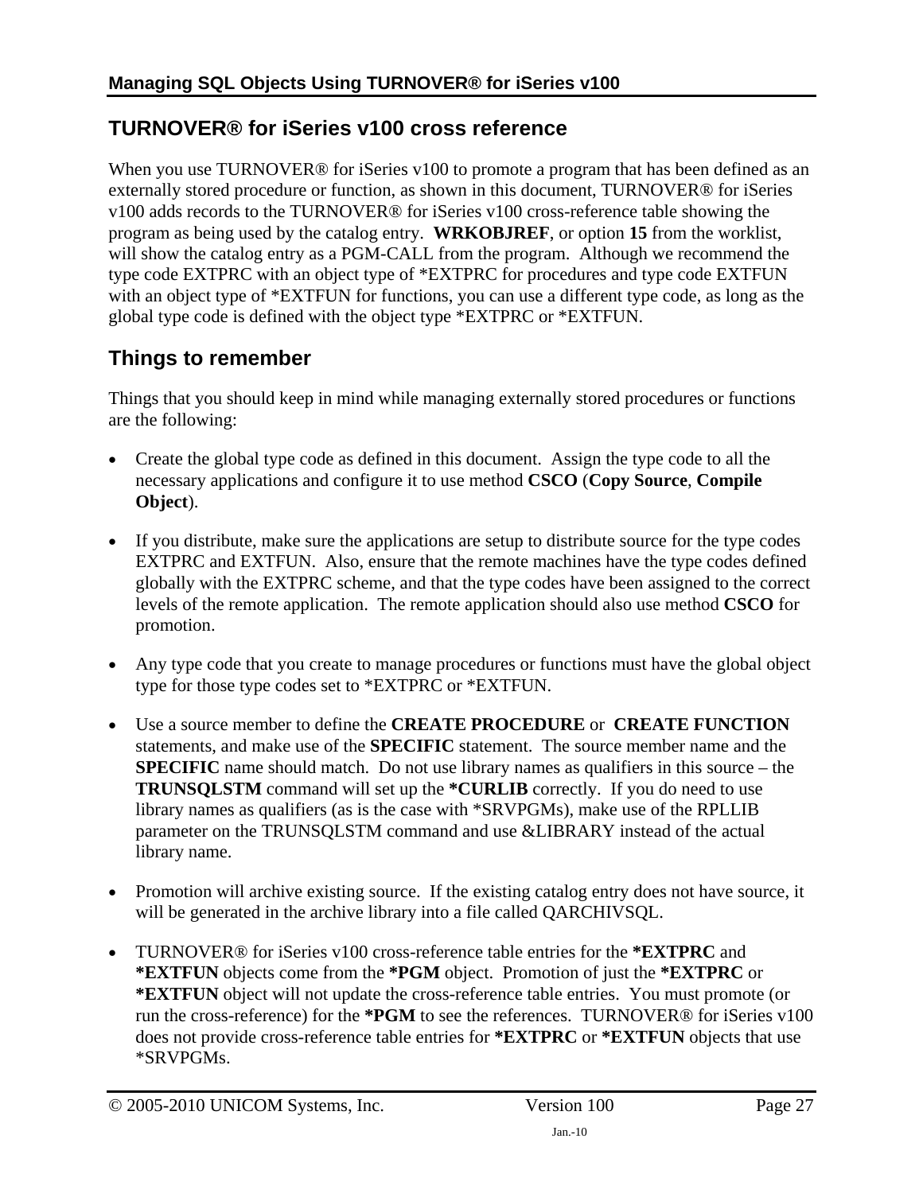### <span id="page-26-3"></span><span id="page-26-1"></span><span id="page-26-0"></span>**TURNOVER® for iSeries v100 cross reference**

When you use TURNOVER<sup>®</sup> for iSeries v100 to promote a program that has been defined as an externally stored procedure or function, as shown in this document, TURNOVER® for iSeries v100 adds records to the TURNOVER® for iSeries v100 cross-reference table showing the program as being used by the catalog entry. **WRKOBJREF**, or option **15** from the worklist, will show the catalog entry as a PGM-CALL from the program. Although we recommend the type code EXTPRC with an object type of \*EXTPRC for procedures and type code EXTFUN with an object type of \*EXTFUN for functions, you can use a different type code, as long as the global type code is defined with the object type \*EXTPRC or \*EXTFUN.

## <span id="page-26-2"></span>**Things to remember**

Things that you should keep in mind while managing externally stored procedures or functions are the following:

- Create the global type code as defined in this document. Assign the type code to all the necessary applications and configure it to use method **CSCO** (**Copy Source**, **Compile Object**).
- If you distribute, make sure the applications are setup to distribute source for the type codes EXTPRC and EXTFUN. Also, ensure that the remote machines have the type codes defined globally with the EXTPRC scheme, and that the type codes have been assigned to the correct levels of the remote application. The remote application should also use method **CSCO** for promotion.
- Any type code that you create to manage procedures or functions must have the global object type for those type codes set to \*EXTPRC or \*EXTFUN.
- Use a source member to define the **CREATE PROCEDURE** or **CREATE FUNCTION**  statements, and make use of the **SPECIFIC** statement. The source member name and the **SPECIFIC** name should match. Do not use library names as qualifiers in this source – the **TRUNSQLSTM** command will set up the **\*CURLIB** correctly. If you do need to use library names as qualifiers (as is the case with \*SRVPGMs), make use of the RPLLIB parameter on the TRUNSQLSTM command and use &LIBRARY instead of the actual library name.
- Promotion will archive existing source. If the existing catalog entry does not have source, it will be generated in the archive library into a file called QARCHIVSQL.
- TURNOVER® for iSeries v100 cross-reference table entries for the **\*EXTPRC** and **\*EXTFUN** objects come from the **\*PGM** object. Promotion of just the **\*EXTPRC** or **\*EXTFUN** object will not update the cross-reference table entries. You must promote (or run the cross-reference) for the **\*PGM** to see the references. TURNOVER® for iSeries v100 does not provide cross-reference table entries for **\*EXTPRC** or **\*EXTFUN** objects that use \*SRVPGMs.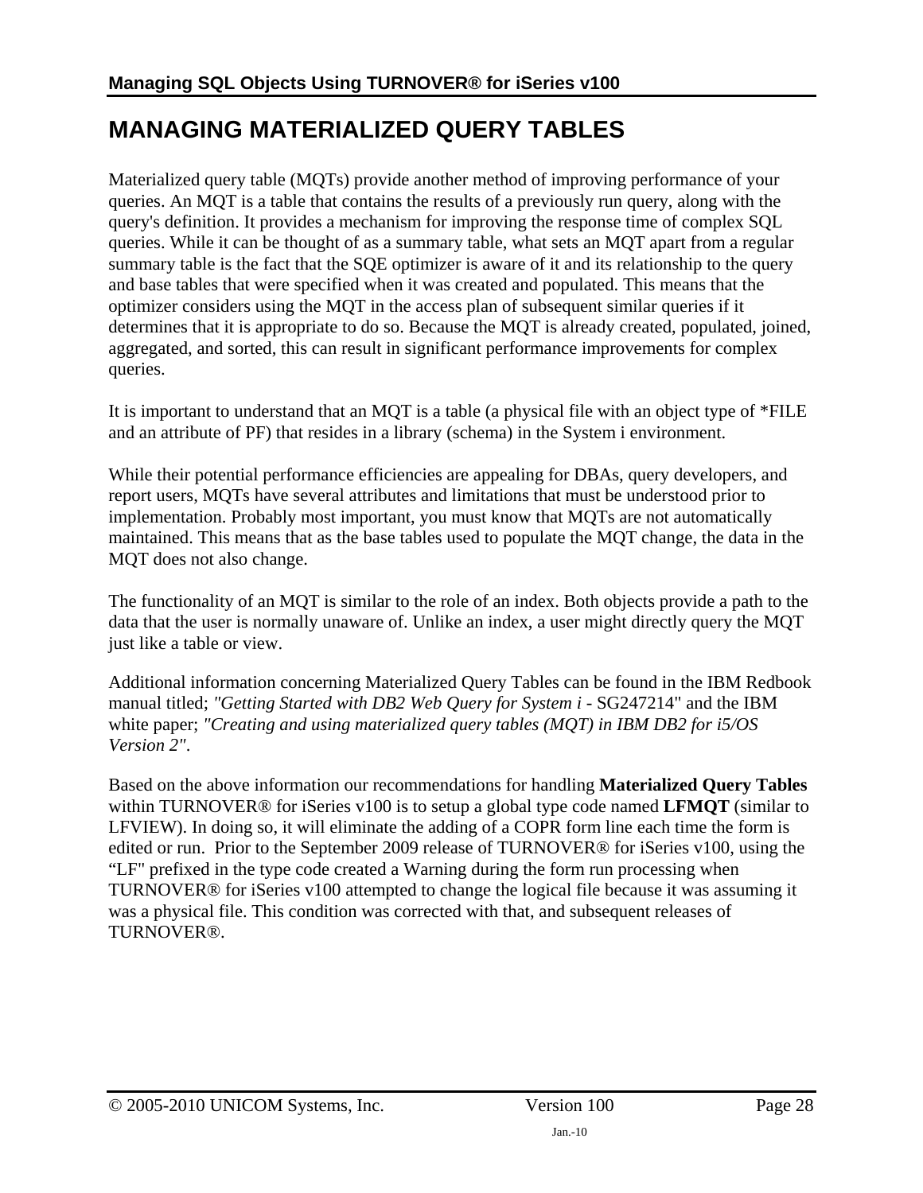# <span id="page-27-1"></span><span id="page-27-0"></span>**MANAGING MATERIALIZED QUERY TABLES**

Materialized query table (MQTs) provide another method of improving performance of your queries. An MQT is a table that contains the results of a previously run query, along with the query's definition. It provides a mechanism for improving the response time of complex SQL queries. While it can be thought of as a summary table, what sets an MQT apart from a regular summary table is the fact that the SQE optimizer is aware of it and its relationship to the query and base tables that were specified when it was created and populated. This means that the optimizer considers using the MQT in the access plan of subsequent similar queries if it determines that it is appropriate to do so. Because the MQT is already created, populated, joined, aggregated, and sorted, this can result in significant performance improvements for complex queries.

It is important to understand that an MQT is a table (a physical file with an object type of \*FILE and an attribute of PF) that resides in a library (schema) in the System i environment.

While their potential performance efficiencies are appealing for DBAs, query developers, and report users, MQTs have several attributes and limitations that must be understood prior to implementation. Probably most important, you must know that MQTs are not automatically maintained. This means that as the base tables used to populate the MQT change, the data in the MQT does not also change.

The functionality of an MQT is similar to the role of an index. Both objects provide a path to the data that the user is normally unaware of. Unlike an index, a user might directly query the MQT just like a table or view.

Additional information concerning Materialized Query Tables can be found in the IBM Redbook manual titled; *"Getting Started with DB2 Web Query for System i* - SG247214" and the IBM white paper; *"Creating and using materialized query tables (MQT) in IBM DB2 for i5/OS Version 2"*.

Based on the above information our recommendations for handling **Materialized Query Tables** within TURNOVER® for iSeries v100 is to setup a global type code named **LFMQT** (similar to LFVIEW). In doing so, it will eliminate the adding of a COPR form line each time the form is edited or run. Prior to the September 2009 release of TURNOVER® for iSeries v100, using the "LF" prefixed in the type code created a Warning during the form run processing when TURNOVER® for iSeries v100 attempted to change the logical file because it was assuming it was a physical file. This condition was corrected with that, and subsequent releases of TURNOVER®.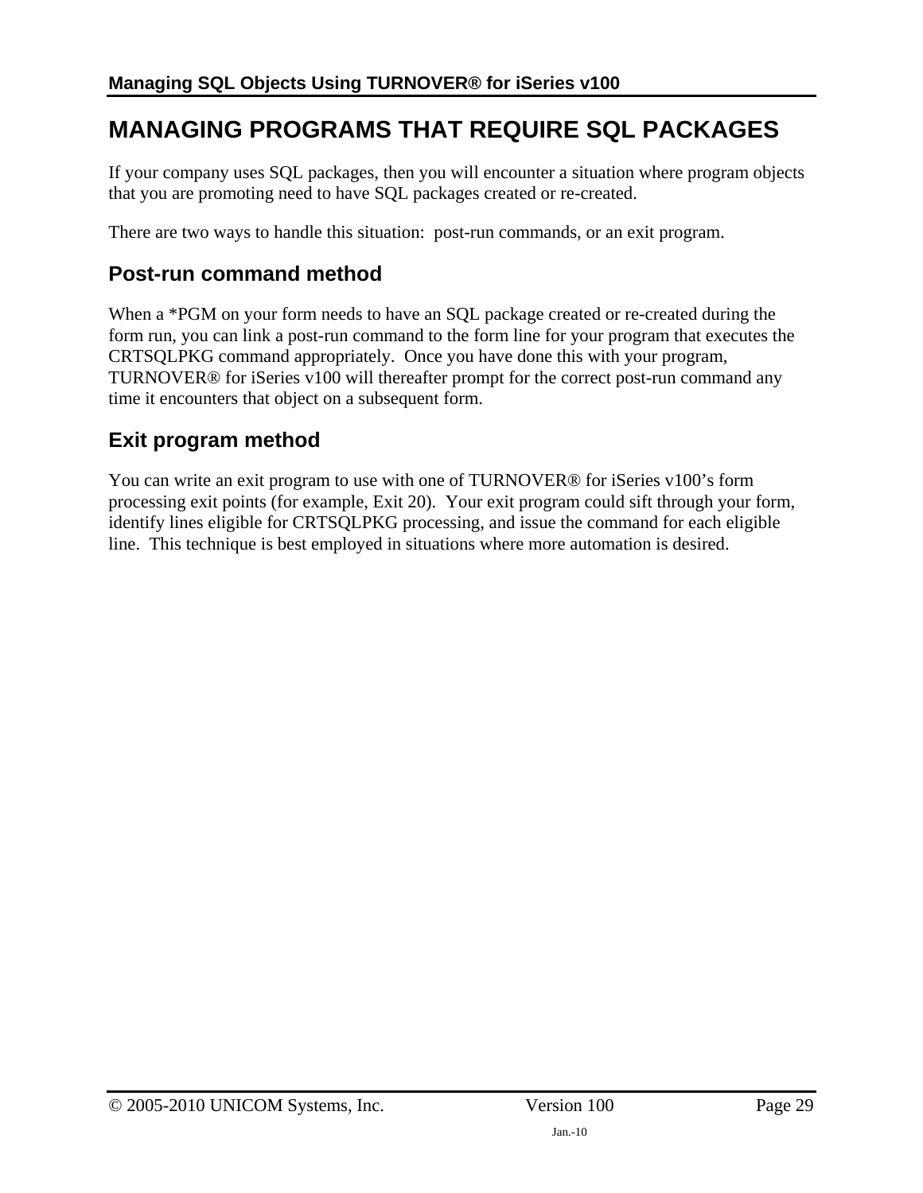# <span id="page-28-0"></span>**MANAGING PROGRAMS THAT REQUIRE SQL PACKAGES**

If your company uses SQL packages, then you will encounter a situation where program objects that you are promoting need to have SQL packages created or re-created.

There are two ways to handle this situation: post-run commands, or an exit program.

### <span id="page-28-1"></span>**Post-run command method**

When a \*PGM on your form needs to have an SQL package created or re-created during the form run, you can link a post-run command to the form line for your program that executes the CRTSQLPKG command appropriately. Once you have done this with your program, TURNOVER® for iSeries v100 will thereafter prompt for the correct post-run command any time it encounters that object on a subsequent form.

## <span id="page-28-2"></span>**Exit program method**

You can write an exit program to use with one of TURNOVER® for iSeries v100's form processing exit points (for example, Exit 20). Your exit program could sift through your form, identify lines eligible for CRTSQLPKG processing, and issue the command for each eligible line. This technique is best employed in situations where more automation is desired.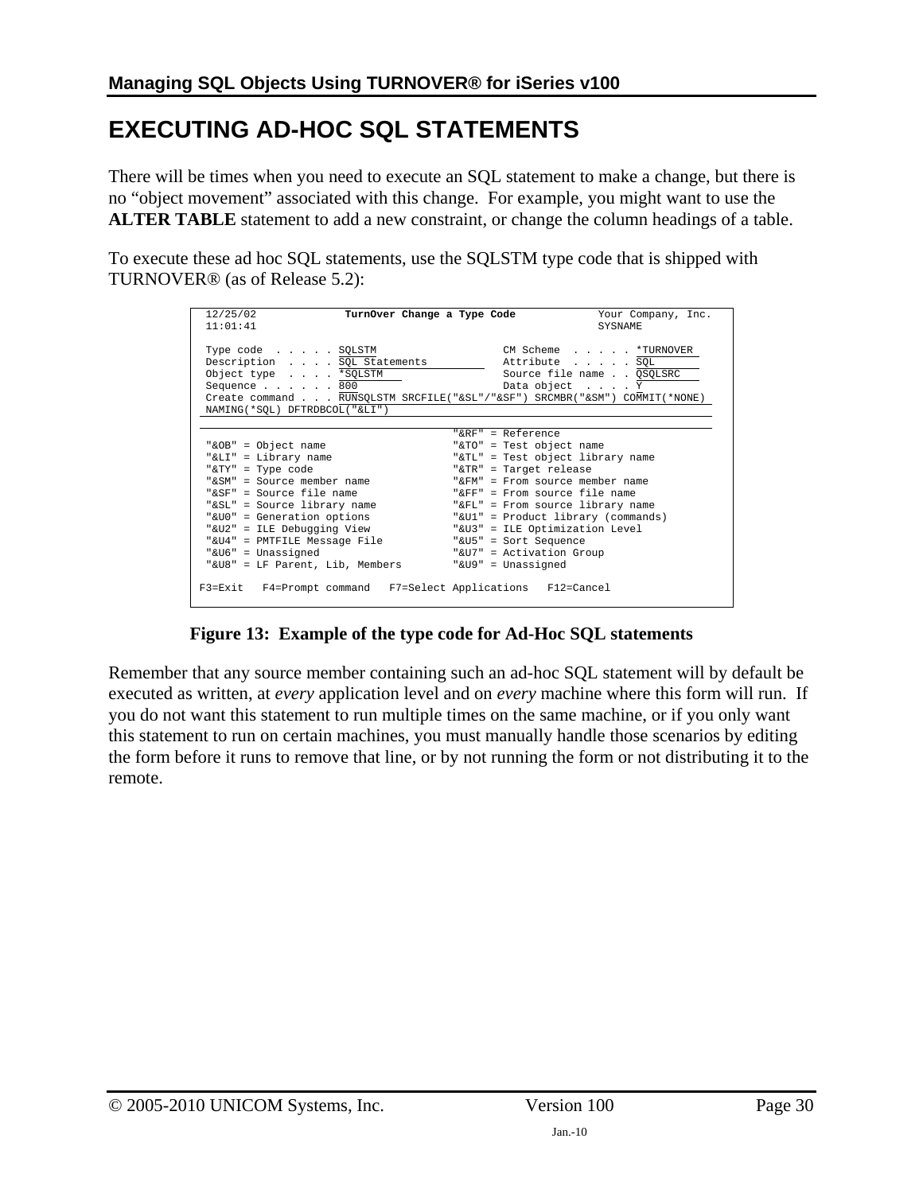# <span id="page-29-1"></span><span id="page-29-0"></span>**EXECUTING AD-HOC SQL STATEMENTS**

There will be times when you need to execute an SQL statement to make a change, but there is no "object movement" associated with this change. For example, you might want to use the **ALTER TABLE** statement to add a new constraint, or change the column headings of a table.

To execute these ad hoc SQL statements, use the SQLSTM type code that is shipped with TURNOVER® (as of Release 5.2):

| 12/25/02<br>11:01:41                                                                                                                                                                                                                                                                                           | Your Company, Inc.<br>TurnOver Change a Type Code<br><b>SYSNAME</b>                                                                                                                                                                                                                                                                                                                       |
|----------------------------------------------------------------------------------------------------------------------------------------------------------------------------------------------------------------------------------------------------------------------------------------------------------------|-------------------------------------------------------------------------------------------------------------------------------------------------------------------------------------------------------------------------------------------------------------------------------------------------------------------------------------------------------------------------------------------|
| Type code SQLSTM<br>Description SQL Statements<br>Object type *SQLSTM<br>Sequence $\ldots$ $\ldots$ 800<br>NAMING (*SOL) DFTRDBCOL ("&LI")                                                                                                                                                                     | CM Scheme * TURNOVER<br>Attribute SQL<br>Source file name QSQLSRC<br>Data object Y<br>Create command RUNSQLSTM SRCFILE("&SL"/"&SF") SRCMBR("&SM") COMMIT(*NONE)                                                                                                                                                                                                                           |
| "&OB" = Object name<br>"&LI" = Library name<br>"&TY" = Type code<br>"&SM" = Source member name<br>"&SF" = Source file name<br>"&SL" = Source library name<br>"&UO" = Generation options<br>"&U2" = ILE Debugging View<br>"&U4" = PMTFILE Message File<br>"&U6" = Unassigned<br>"&U8" = LF Parent, Lib, Members | " $R$ R $F$ " = Reference<br>"&TO" = Test object name<br>"&TL" = Test object library name<br>"&TR" = Target release<br>" $\&$ FM" = From source member name<br>" $F$ $F$ " = From source file name<br>"&FL" = From source library name<br>"&Ul" = Product library (commands)<br>"&U3" = ILE Optimization Level<br>"&U5" = Sort Sequence<br>"&U7" = Activation Group<br>"&U9" = Unassigned |
| F3=Exit F4=Prompt command F7=Select Applications F12=Cancel                                                                                                                                                                                                                                                    |                                                                                                                                                                                                                                                                                                                                                                                           |

**Figure 13: Example of the type code for Ad-Hoc SQL statements** 

Remember that any source member containing such an ad-hoc SQL statement will by default be executed as written, at *every* application level and on *every* machine where this form will run. If you do not want this statement to run multiple times on the same machine, or if you only want this statement to run on certain machines, you must manually handle those scenarios by editing the form before it runs to remove that line, or by not running the form or not distributing it to the remote.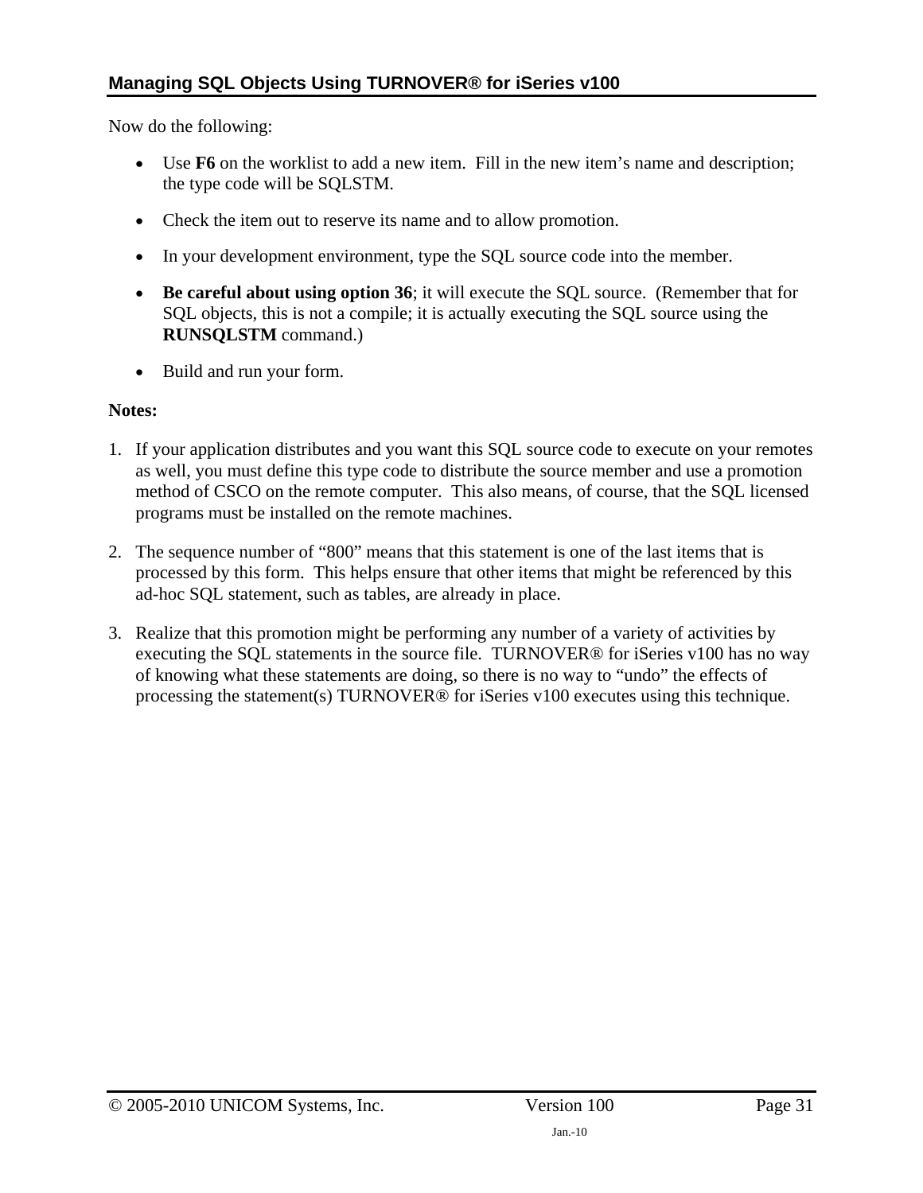Now do the following:

- Use **F6** on the worklist to add a new item. Fill in the new item's name and description; the type code will be SQLSTM.
- Check the item out to reserve its name and to allow promotion.
- In your development environment, type the SQL source code into the member.
- **Be careful about using option 36**; it will execute the SQL source. (Remember that for SQL objects, this is not a compile; it is actually executing the SQL source using the **RUNSQLSTM** command.)
- Build and run your form.

#### **Notes:**

- 1. If your application distributes and you want this SQL source code to execute on your remotes as well, you must define this type code to distribute the source member and use a promotion method of CSCO on the remote computer. This also means, of course, that the SQL licensed programs must be installed on the remote machines.
- 2. The sequence number of "800" means that this statement is one of the last items that is processed by this form. This helps ensure that other items that might be referenced by this ad-hoc SQL statement, such as tables, are already in place.
- 3. Realize that this promotion might be performing any number of a variety of activities by executing the SQL statements in the source file. TURNOVER® for iSeries v100 has no way of knowing what these statements are doing, so there is no way to "undo" the effects of processing the statement(s) TURNOVER® for iSeries v100 executes using this technique.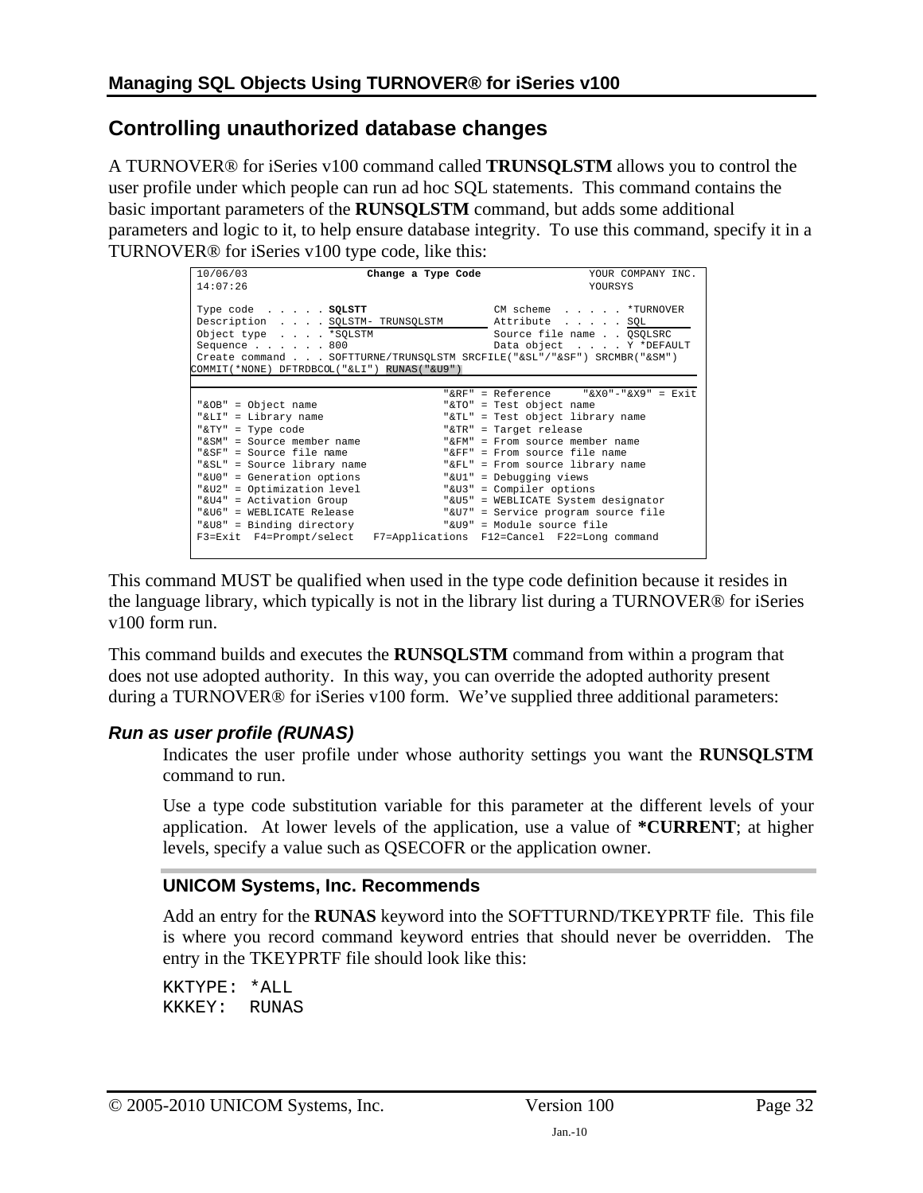### <span id="page-31-1"></span><span id="page-31-0"></span>**Controlling unauthorized database changes**

A TURNOVER® for iSeries v100 command called **TRUNSQLSTM** allows you to control the user profile under which people can run ad hoc SQL statements. This command contains the basic important parameters of the **RUNSQLSTM** command, but adds some additional parameters and logic to it, to help ensure database integrity. To use this command, specify it in a TURNOVER® for iSeries v100 type code, like this:

| 10/06/03                                                                                                              | Change a Type Code | YOUR COMPANY INC.                            |  |
|-----------------------------------------------------------------------------------------------------------------------|--------------------|----------------------------------------------|--|
|                                                                                                                       |                    |                                              |  |
| 14:07:26                                                                                                              |                    | <b>YOURSYS</b>                               |  |
|                                                                                                                       |                    |                                              |  |
| Type code SQLSTT                                                                                                      |                    | CM scheme *TURNOVER                          |  |
| Description SQLSTM- TRUNSQLSTM                                                                                        |                    | Attribute SQL                                |  |
| Object type *SQLSTM                                                                                                   |                    | Source file name QSQLSRC                     |  |
| Sequence $\ldots$ $\ldots$ 800                                                                                        |                    | Data object Y *DEFAULT                       |  |
|                                                                                                                       |                    |                                              |  |
| Create command SOFTTURNE/TRUNSOLSTM SRCFILE("&SL"/"&SF") SRCMBR("&SM")<br>COMMIT(*NONE) DFTRDBCOL("&LI") RUNAS("&U9") |                    |                                              |  |
|                                                                                                                       |                    |                                              |  |
|                                                                                                                       |                    |                                              |  |
|                                                                                                                       |                    | "&RF" = Reference $\sqrt{X0}$ "-"&X9" = Exit |  |
| "&OB" = Object name                                                                                                   |                    | "&TO" = Test object name                     |  |
| "&LI" = Library name                                                                                                  |                    | "&TL" = Test object library name             |  |
| "&TY" = Type code                                                                                                     |                    | "&TR" = Target release                       |  |
| "&SM" = Source member name                                                                                            |                    | "&FM" = From source member name              |  |
| "&SF" = Source file name                                                                                              |                    | " $F_F$ " = From source file name            |  |
| "&SL" = Source library name                                                                                           |                    | "&FL" = From source library name             |  |
| "&U0" = Generation options                                                                                            |                    | "&Ul" = Debugging views                      |  |
| "&U2" = Optimization level                                                                                            |                    | "&U3" = Compiler options                     |  |
| "&U4" = Activation Group                                                                                              |                    | "&U5" = WEBLICATE System designator          |  |
|                                                                                                                       |                    |                                              |  |
| "&U6" = WEBLICATE Release                                                                                             |                    | "&U7" = Service program source file          |  |
| "&U8" = Binding directory                                                                                             |                    | "&U9" = Module source file                   |  |
| F3=Exit F4=Prompt/select F7=Applications F12=Cancel F22=Long command                                                  |                    |                                              |  |
|                                                                                                                       |                    |                                              |  |

This command MUST be qualified when used in the type code definition because it resides in the language library, which typically is not in the library list during a TURNOVER® for iSeries v100 form run.

This command builds and executes the **RUNSQLSTM** command from within a program that does not use adopted authority. In this way, you can override the adopted authority present during a TURNOVER® for iSeries v100 form. We've supplied three additional parameters:

#### *Run as user profile (RUNAS)*

Indicates the user profile under whose authority settings you want the **RUNSQLSTM** command to run.

Use a type code substitution variable for this parameter at the different levels of your application. At lower levels of the application, use a value of **\*CURRENT**; at higher levels, specify a value such as QSECOFR or the application owner.

#### **UNICOM Systems, Inc. Recommends**

Add an entry for the **RUNAS** keyword into the SOFTTURND/TKEYPRTF file. This file is where you record command keyword entries that should never be overridden. The entry in the TKEYPRTF file should look like this:

KKTYPE: \*ALL KKKEY: RUNAS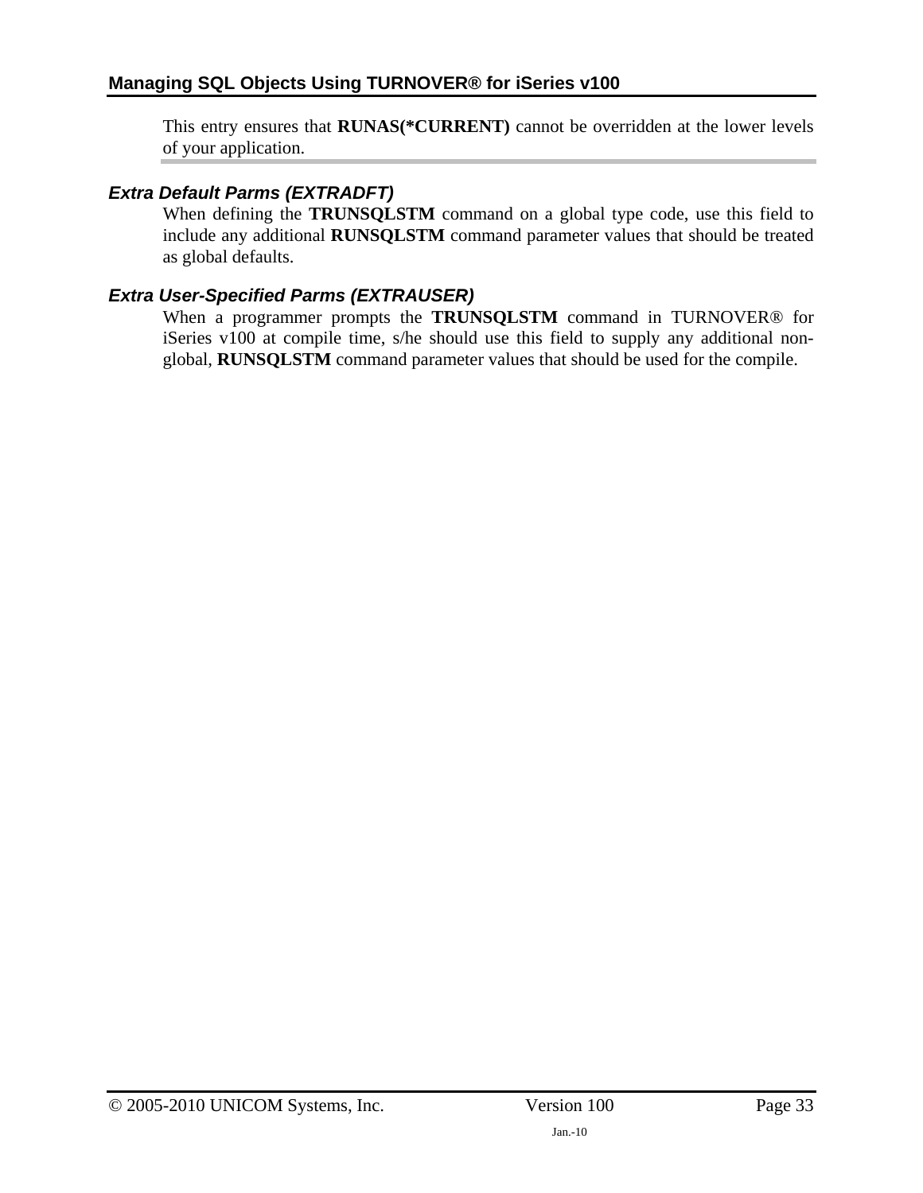This entry ensures that **RUNAS(\*CURRENT)** cannot be overridden at the lower levels of your application.

#### *Extra Default Parms (EXTRADFT)*

When defining the **TRUNSQLSTM** command on a global type code, use this field to include any additional **RUNSQLSTM** command parameter values that should be treated as global defaults.

#### *Extra User-Specified Parms (EXTRAUSER)*

When a programmer prompts the **TRUNSQLSTM** command in TURNOVER® for iSeries v100 at compile time, s/he should use this field to supply any additional nonglobal, **RUNSQLSTM** command parameter values that should be used for the compile.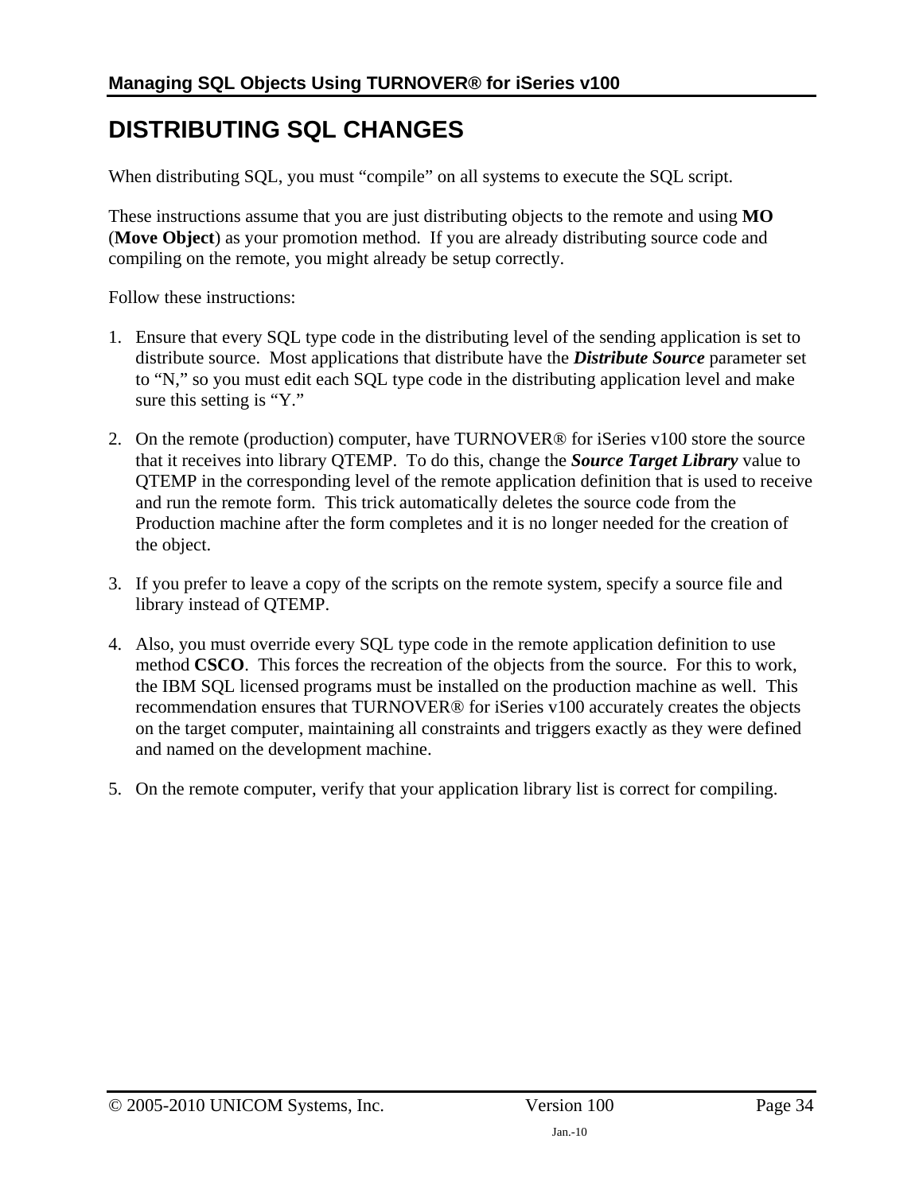## <span id="page-33-1"></span><span id="page-33-0"></span>**DISTRIBUTING SQL CHANGES**

When distributing SQL, you must "compile" on all systems to execute the SQL script.

These instructions assume that you are just distributing objects to the remote and using **MO** (**Move Object**) as your promotion method. If you are already distributing source code and compiling on the remote, you might already be setup correctly.

Follow these instructions:

- 1. Ensure that every SQL type code in the distributing level of the sending application is set to distribute source. Most applications that distribute have the *Distribute Source* parameter set to "N," so you must edit each SQL type code in the distributing application level and make sure this setting is "Y."
- 2. On the remote (production) computer, have TURNOVER® for iSeries v100 store the source that it receives into library QTEMP. To do this, change the *Source Target Library* value to QTEMP in the corresponding level of the remote application definition that is used to receive and run the remote form. This trick automatically deletes the source code from the Production machine after the form completes and it is no longer needed for the creation of the object.
- 3. If you prefer to leave a copy of the scripts on the remote system, specify a source file and library instead of QTEMP.
- 4. Also, you must override every SQL type code in the remote application definition to use method **CSCO**. This forces the recreation of the objects from the source. For this to work, the IBM SQL licensed programs must be installed on the production machine as well. This recommendation ensures that TURNOVER® for iSeries v100 accurately creates the objects on the target computer, maintaining all constraints and triggers exactly as they were defined and named on the development machine.
- 5. On the remote computer, verify that your application library list is correct for compiling.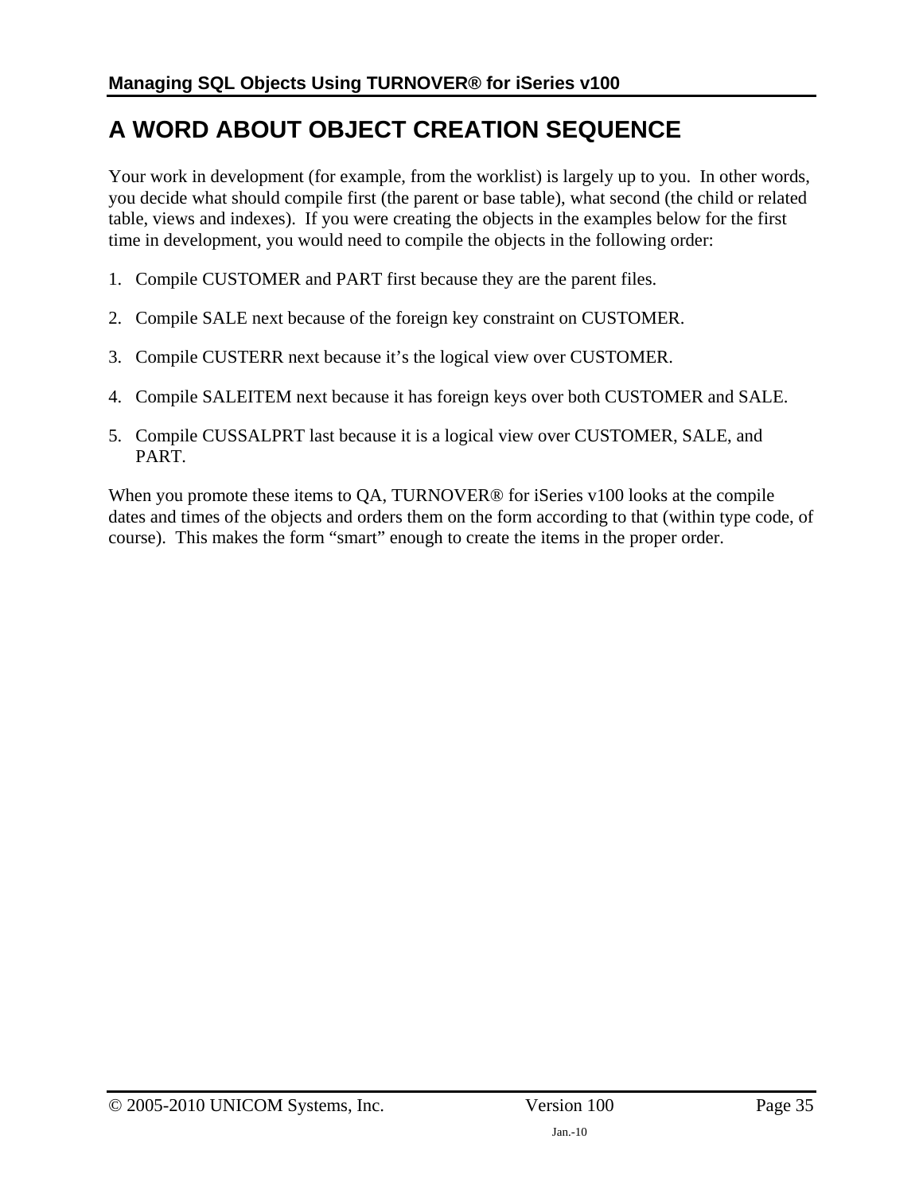# <span id="page-34-1"></span><span id="page-34-0"></span>**A WORD ABOUT OBJECT CREATION SEQUENCE**

Your work in development (for example, from the worklist) is largely up to you. In other words, you decide what should compile first (the parent or base table), what second (the child or related table, views and indexes). If you were creating the objects in the examples below for the first time in development, you would need to compile the objects in the following order:

- 1. Compile CUSTOMER and PART first because they are the parent files.
- 2. Compile SALE next because of the foreign key constraint on CUSTOMER.
- 3. Compile CUSTERR next because it's the logical view over CUSTOMER.
- 4. Compile SALEITEM next because it has foreign keys over both CUSTOMER and SALE.
- 5. Compile CUSSALPRT last because it is a logical view over CUSTOMER, SALE, and PART.

When you promote these items to QA, TURNOVER<sup>®</sup> for iSeries v100 looks at the compile dates and times of the objects and orders them on the form according to that (within type code, of course). This makes the form "smart" enough to create the items in the proper order.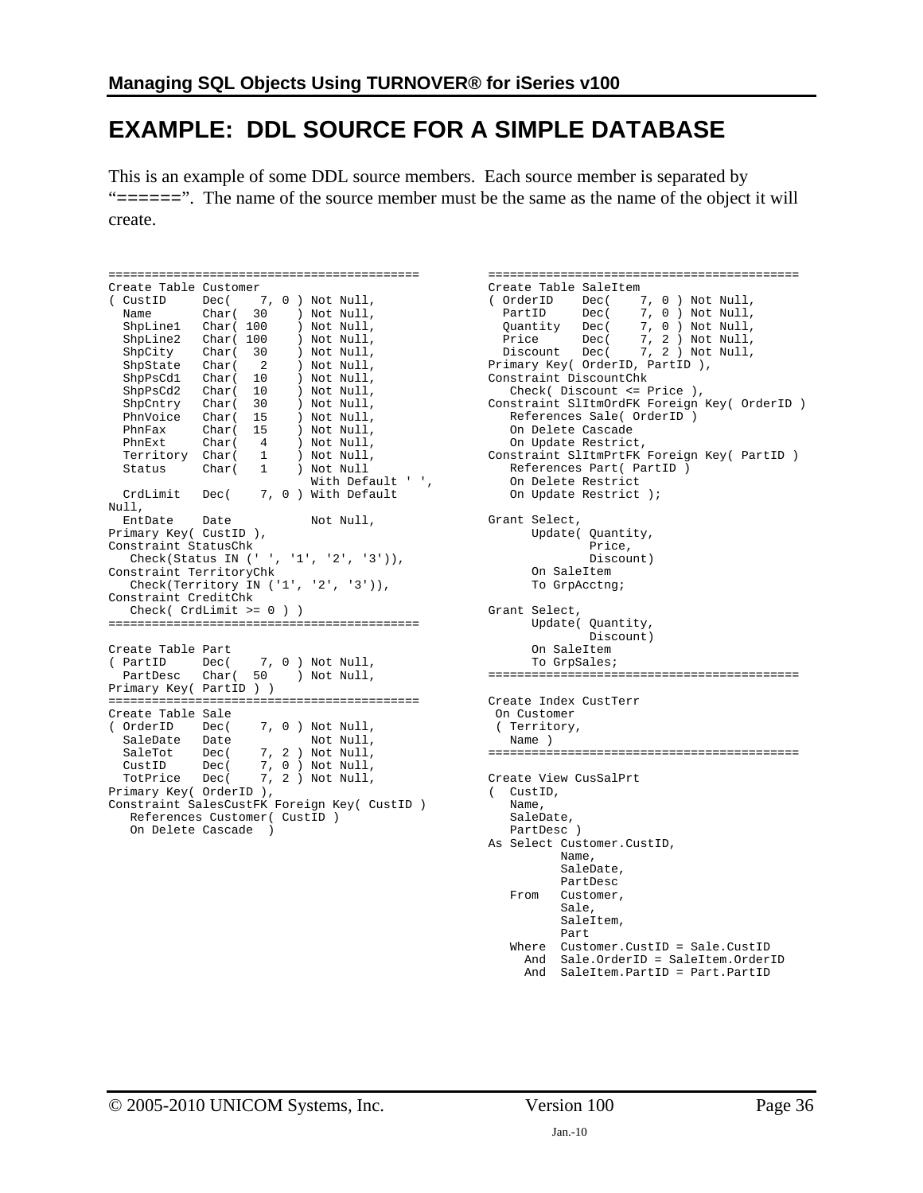## <span id="page-35-2"></span><span id="page-35-1"></span><span id="page-35-0"></span>**EXAMPLE: DDL SOURCE FOR A SIMPLE DATABASE**

This is an example of some DDL source members. Each source member is separated by " $====="$ ". The name of the source member must be the same as the name of the object it will create.

```
=========================================== 
Create Table Customer 
( CustID Dec( 7, 0 ) Not Null, 
Name Char( 30 ) Not Null,
 ShpLine1 Char( 100 ) Not Null, 
 ShpLine2 Char( 100 ) Not Null, 
 ShpCity Char( 30 ) Not Null, 
 ShpState Char( 2 ) Not Null, 
 ShpPsCd1 Char( 10 ) Not Null, 
 ShpPsCd2 Char( 10 ) Not Null, 
 ShpCntry Char( 30 ) Not Null, 
 PhnVoice Char( 15 ) Not Null, 
 PhnFax Char( 15 ) Not Null, 
 PhnExt Char( 4 ) Not Null, 
 Territory Char( 1 ) Not Null, 
 Status Char( 1 ) Not Null 
With Default ' ',
  CrdLimit Dec( 7, 0 ) With Default 
Null,<br>EntDate
          Date Not Null,
Primary Key( CustID ), 
Constraint StatusChk 
   Check(Status IN (' ', '1', '2', '3')), 
Constraint TerritoryChk 
  Check(Territory IN ('1', '2', '3')), 
Constraint CreditChk 
   Check( CrdLimit >= 0 ) ) 
=========================================== 
Create Table Part 
( PartID Dec( 7, 0 ) Not Null, 
 PartDesc Char( 50 ) Not Null, 
Primary Key( PartID ) ) 
=========================================== 
Create Table Sale 
( OrderID Dec( 7, 0 ) Not Null, 
SaleDate Date Not Null,
 SaleTot Dec( 7, 2 ) Not Null, 
 CustID Dec( 7, 0 ) Not Null, 
 TotPrice Dec( 7, 2 ) Not Null, 
Primary Key( OrderID ), 
Constraint SalesCustFK Foreign Key( CustID )<br>References Customer( CustID )<br>Or Polate Gasse )
   References Customer( CustID ) 
   On Delete Cascade )
```

```
=========================================== 
  Create Table SaleItem 
  ( OrderID Dec( 7, 0 ) Not Null, 
  PartID Dec( 7, 0) Not Null,
   Quantity Dec( 7, 0 ) Not Null, 
   Price Dec( 7, 2 ) Not Null, 
   Discount Dec( 7, 2 ) Not Null, 
  Primary Key( OrderID, PartID ), 
  Constraint DiscountChk 
   Check( Discount <= Price ), 
  Constraint SlItmOrdFK Foreign Key( OrderID ) 
   References Sale( OrderID ) 
   On Delete Cascade 
   On Update Restrict, 
  Constraint SlItmPrtFK Foreign Key( PartID ) 
   References Part( PartID ) 
   On Delete Restrict 
   On Update Restrict ); 
Grant Select, 
     Update( Quantity, 
                 Price, 
                 Discount) 
        On SaleItem 
        To GrpAcctng; 
Grant Select, 
        Update( Quantity, 
                Discount) 
        On SaleItem 
        To GrpSales; 
=========================================== 
Create Index CustTerr 
   On Customer 
  ( Territory, 
   Name ) 
  =========================================== 
 Create View CusSalPrt 
 ( CustID, 
     Name, 
     SaleDate, 
     PartDesc ) 
 As Select Customer.CustID, 
            Name, 
             SaleDate, 
             PartDesc 
      From Customer, 
             Sale, 
             SaleItem, 
             Part 
      Where Customer.CustID = Sale.CustID 
       And Sale.OrderID = SaleItem.OrderID 
        And SaleItem.PartID = Part.PartID
```